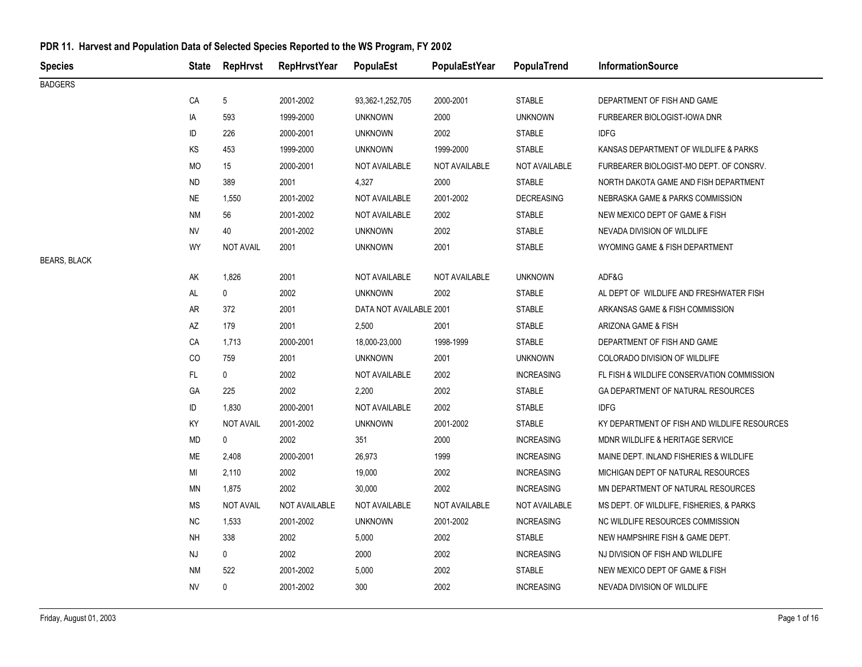| <b>Species</b>      | State     | RepHrvst         | <b>RepHrvstYear</b> | PopulaEst               | PopulaEstYear | PopulaTrend       | <b>InformationSource</b>                     |
|---------------------|-----------|------------------|---------------------|-------------------------|---------------|-------------------|----------------------------------------------|
| <b>BADGERS</b>      |           |                  |                     |                         |               |                   |                                              |
|                     | CA        | 5                | 2001-2002           | 93,362-1,252,705        | 2000-2001     | <b>STABLE</b>     | DEPARTMENT OF FISH AND GAME                  |
|                     | IA        | 593              | 1999-2000           | <b>UNKNOWN</b>          | 2000          | <b>UNKNOWN</b>    | FURBEARER BIOLOGIST-IOWA DNR                 |
|                     | ID        | 226              | 2000-2001           | <b>UNKNOWN</b>          | 2002          | <b>STABLE</b>     | <b>IDFG</b>                                  |
|                     | KS        | 453              | 1999-2000           | <b>UNKNOWN</b>          | 1999-2000     | <b>STABLE</b>     | KANSAS DEPARTMENT OF WILDLIFE & PARKS        |
|                     | MO        | 15               | 2000-2001           | NOT AVAILABLE           | NOT AVAILABLE | NOT AVAILABLE     | FURBEARER BIOLOGIST-MO DEPT. OF CONSRV.      |
|                     | <b>ND</b> | 389              | 2001                | 4,327                   | 2000          | <b>STABLE</b>     | NORTH DAKOTA GAME AND FISH DEPARTMENT        |
|                     | <b>NE</b> | 1,550            | 2001-2002           | NOT AVAILABLE           | 2001-2002     | <b>DECREASING</b> | NEBRASKA GAME & PARKS COMMISSION             |
|                     | <b>NM</b> | 56               | 2001-2002           | NOT AVAILABLE           | 2002          | <b>STABLE</b>     | NEW MEXICO DEPT OF GAME & FISH               |
|                     | <b>NV</b> | 40               | 2001-2002           | <b>UNKNOWN</b>          | 2002          | <b>STABLE</b>     | NEVADA DIVISION OF WILDLIFE                  |
|                     | WY        | <b>NOT AVAIL</b> | 2001                | <b>UNKNOWN</b>          | 2001          | <b>STABLE</b>     | WYOMING GAME & FISH DEPARTMENT               |
| <b>BEARS, BLACK</b> |           |                  |                     |                         |               |                   |                                              |
|                     | AK        | 1,826            | 2001                | NOT AVAILABLE           | NOT AVAILABLE | <b>UNKNOWN</b>    | ADF&G                                        |
|                     | AL        | 0                | 2002                | <b>UNKNOWN</b>          | 2002          | <b>STABLE</b>     | AL DEPT OF WILDLIFE AND FRESHWATER FISH      |
|                     | AR        | 372              | 2001                | DATA NOT AVAILABLE 2001 |               | <b>STABLE</b>     | ARKANSAS GAME & FISH COMMISSION              |
|                     | AZ        | 179              | 2001                | 2,500                   | 2001          | <b>STABLE</b>     | ARIZONA GAME & FISH                          |
|                     | CA        | 1,713            | 2000-2001           | 18,000-23,000           | 1998-1999     | <b>STABLE</b>     | DEPARTMENT OF FISH AND GAME                  |
|                     | CO        | 759              | 2001                | <b>UNKNOWN</b>          | 2001          | <b>UNKNOWN</b>    | COLORADO DIVISION OF WILDLIFE                |
|                     | FL        | 0                | 2002                | <b>NOT AVAILABLE</b>    | 2002          | <b>INCREASING</b> | FL FISH & WILDLIFE CONSERVATION COMMISSION   |
|                     | GA        | 225              | 2002                | 2,200                   | 2002          | <b>STABLE</b>     | GA DEPARTMENT OF NATURAL RESOURCES           |
|                     | ID        | 1,830            | 2000-2001           | NOT AVAILABLE           | 2002          | <b>STABLE</b>     | <b>IDFG</b>                                  |
|                     | KY        | <b>NOT AVAIL</b> | 2001-2002           | <b>UNKNOWN</b>          | 2001-2002     | STABLE            | KY DEPARTMENT OF FISH AND WILDLIFE RESOURCES |
|                     | $\sf MD$  | 0                | 2002                | 351                     | 2000          | <b>INCREASING</b> | MDNR WILDLIFE & HERITAGE SERVICE             |
|                     | ME        | 2,408            | 2000-2001           | 26,973                  | 1999          | <b>INCREASING</b> | MAINE DEPT. INLAND FISHERIES & WILDLIFE      |
|                     | MI        | 2,110            | 2002                | 19,000                  | 2002          | <b>INCREASING</b> | MICHIGAN DEPT OF NATURAL RESOURCES           |
|                     | ΜN        | 1,875            | 2002                | 30,000                  | 2002          | <b>INCREASING</b> | MN DEPARTMENT OF NATURAL RESOURCES           |
|                     | МS        | NOT AVAIL        | NOT AVAILABLE       | NOT AVAILABLE           | NOT AVAILABLE | NOT AVAILABLE     | MS DEPT. OF WILDLIFE, FISHERIES, & PARKS     |
|                     | <b>NC</b> | 1,533            | 2001-2002           | <b>UNKNOWN</b>          | 2001-2002     | <b>INCREASING</b> | NC WILDLIFE RESOURCES COMMISSION             |
|                     | <b>NH</b> | 338              | 2002                | 5,000                   | 2002          | STABLE            | NEW HAMPSHIRE FISH & GAME DEPT.              |
|                     | NJ        | 0                | 2002                | 2000                    | 2002          | <b>INCREASING</b> | NJ DIVISION OF FISH AND WILDLIFE             |
|                     | NM        | 522              | 2001-2002           | 5,000                   | 2002          | <b>STABLE</b>     | NEW MEXICO DEPT OF GAME & FISH               |
|                     | <b>NV</b> | 0                | 2001-2002           | 300                     | 2002          | <b>INCREASING</b> | NEVADA DIVISION OF WILDLIFE                  |
|                     |           |                  |                     |                         |               |                   |                                              |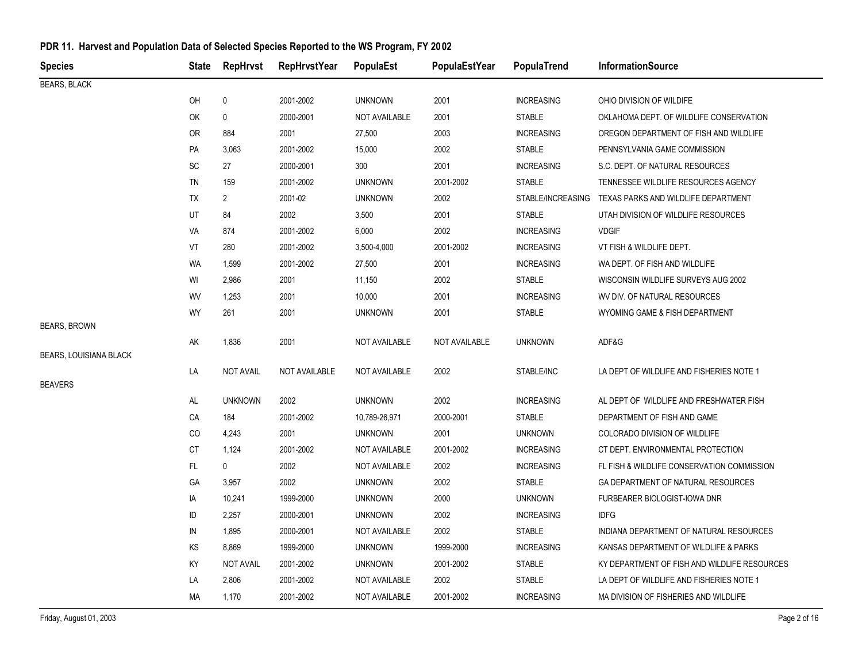| <b>Species</b>                | <b>State</b>                 | <b>RepHrvst</b>  | <b>RepHrvstYear</b> | PopulaEst            | <b>PopulaEstYear</b> | PopulaTrend       | <b>InformationSource</b>                              |
|-------------------------------|------------------------------|------------------|---------------------|----------------------|----------------------|-------------------|-------------------------------------------------------|
| <b>BEARS, BLACK</b>           |                              |                  |                     |                      |                      |                   |                                                       |
|                               | OH                           | 0                | 2001-2002           | <b>UNKNOWN</b>       | 2001                 | <b>INCREASING</b> | OHIO DIVISION OF WILDIFE                              |
|                               | OK                           | $\pmb{0}$        | 2000-2001           | NOT AVAILABLE        | 2001                 | <b>STABLE</b>     | OKLAHOMA DEPT. OF WILDLIFE CONSERVATION               |
|                               | 0R                           | 884              | 2001                | 27,500               | 2003                 | <b>INCREASING</b> | OREGON DEPARTMENT OF FISH AND WILDLIFE                |
|                               | PA                           | 3,063            | 2001-2002           | 15,000               | 2002                 | <b>STABLE</b>     | PENNSYLVANIA GAME COMMISSION                          |
|                               | $\operatorname{\textsf{SC}}$ | 27               | 2000-2001           | 300                  | 2001                 | <b>INCREASING</b> | S.C. DEPT. OF NATURAL RESOURCES                       |
|                               | <b>TN</b>                    | 159              | 2001-2002           | <b>UNKNOWN</b>       | 2001-2002            | <b>STABLE</b>     | TENNESSEE WILDLIFE RESOURCES AGENCY                   |
|                               | TX                           | $\overline{2}$   | 2001-02             | <b>UNKNOWN</b>       | 2002                 |                   | STABLE/INCREASING TEXAS PARKS AND WILDLIFE DEPARTMENT |
|                               | UT                           | 84               | 2002                | 3,500                | 2001                 | <b>STABLE</b>     | UTAH DIVISION OF WILDLIFE RESOURCES                   |
|                               | VA                           | 874              | 2001-2002           | 6,000                | 2002                 | <b>INCREASING</b> | <b>VDGIF</b>                                          |
|                               | VT                           | 280              | 2001-2002           | 3,500-4,000          | 2001-2002            | <b>INCREASING</b> | VT FISH & WILDLIFE DEPT.                              |
|                               | <b>WA</b>                    | 1,599            | 2001-2002           | 27,500               | 2001                 | <b>INCREASING</b> | WA DEPT. OF FISH AND WILDLIFE                         |
|                               | WI                           | 2,986            | 2001                | 11,150               | 2002                 | <b>STABLE</b>     | WISCONSIN WILDLIFE SURVEYS AUG 2002                   |
|                               | WV                           | 1,253            | 2001                | 10,000               | 2001                 | <b>INCREASING</b> | WV DIV. OF NATURAL RESOURCES                          |
|                               | WY                           | 261              | 2001                | <b>UNKNOWN</b>       | 2001                 | <b>STABLE</b>     | WYOMING GAME & FISH DEPARTMENT                        |
| <b>BEARS, BROWN</b>           |                              |                  |                     |                      |                      |                   |                                                       |
|                               | AK                           | 1,836            | 2001                | <b>NOT AVAILABLE</b> | NOT AVAILABLE        | <b>UNKNOWN</b>    | ADF&G                                                 |
| <b>BEARS, LOUISIANA BLACK</b> |                              |                  |                     |                      |                      |                   |                                                       |
| <b>BEAVERS</b>                | LA                           | <b>NOT AVAIL</b> | NOT AVAILABLE       | <b>NOT AVAILABLE</b> | 2002                 | STABLE/INC        | LA DEPT OF WILDLIFE AND FISHERIES NOTE 1              |
|                               | AL                           | <b>UNKNOWN</b>   | 2002                | <b>UNKNOWN</b>       | 2002                 | <b>INCREASING</b> | AL DEPT OF WILDLIFE AND FRESHWATER FISH               |
|                               | CA                           | 184              | 2001-2002           | 10,789-26,971        | 2000-2001            | <b>STABLE</b>     | DEPARTMENT OF FISH AND GAME                           |
|                               | CO                           | 4,243            | 2001                | <b>UNKNOWN</b>       | 2001                 | <b>UNKNOWN</b>    | COLORADO DIVISION OF WILDLIFE                         |
|                               | СT                           | 1,124            | 2001-2002           | NOT AVAILABLE        | 2001-2002            | <b>INCREASING</b> | CT DEPT. ENVIRONMENTAL PROTECTION                     |
|                               | FL.                          | $\mathbf 0$      | 2002                | <b>NOT AVAILABLE</b> | 2002                 | <b>INCREASING</b> | FL FISH & WILDLIFE CONSERVATION COMMISSION            |
|                               | GA                           | 3,957            | 2002                | <b>UNKNOWN</b>       | 2002                 | <b>STABLE</b>     | GA DEPARTMENT OF NATURAL RESOURCES                    |
|                               | IA                           | 10,241           | 1999-2000           | <b>UNKNOWN</b>       | 2000                 | <b>UNKNOWN</b>    | FURBEARER BIOLOGIST-IOWA DNR                          |
|                               | ID                           | 2,257            | 2000-2001           | <b>UNKNOWN</b>       | 2002                 | <b>INCREASING</b> | <b>IDFG</b>                                           |
|                               | IN                           | 1,895            | 2000-2001           | <b>NOT AVAILABLE</b> | 2002                 | <b>STABLE</b>     | INDIANA DEPARTMENT OF NATURAL RESOURCES               |
|                               | KS                           | 8,869            | 1999-2000           | <b>UNKNOWN</b>       | 1999-2000            | <b>INCREASING</b> | KANSAS DEPARTMENT OF WILDLIFE & PARKS                 |
|                               | KY                           | <b>NOT AVAIL</b> | 2001-2002           | <b>UNKNOWN</b>       | 2001-2002            | <b>STABLE</b>     | KY DEPARTMENT OF FISH AND WILDLIFE RESOURCES          |
|                               | LA                           | 2,806            | 2001-2002           | <b>NOT AVAILABLE</b> | 2002                 | <b>STABLE</b>     | LA DEPT OF WILDLIFE AND FISHERIES NOTE 1              |
|                               | МA                           | 1,170            | 2001-2002           | NOT AVAILABLE        | 2001-2002            | <b>INCREASING</b> | MA DIVISION OF FISHERIES AND WILDLIFE                 |
|                               |                              |                  |                     |                      |                      |                   |                                                       |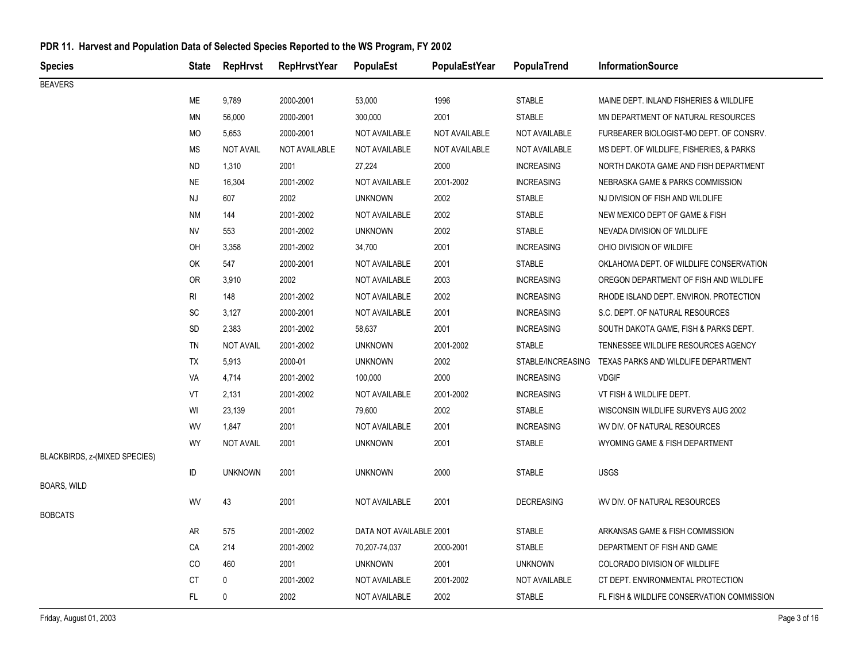| <b>Species</b>                | <b>State</b>   | RepHrvst         | <b>RepHrvstYear</b>  | PopulaEst               | PopulaEstYear        | PopulaTrend       | <b>InformationSource</b>                   |
|-------------------------------|----------------|------------------|----------------------|-------------------------|----------------------|-------------------|--------------------------------------------|
| <b>BEAVERS</b>                |                |                  |                      |                         |                      |                   |                                            |
|                               | ME             | 9,789            | 2000-2001            | 53,000                  | 1996                 | <b>STABLE</b>     | MAINE DEPT. INLAND FISHERIES & WILDLIFE    |
|                               | ΜN             | 56,000           | 2000-2001            | 300,000                 | 2001                 | <b>STABLE</b>     | MN DEPARTMENT OF NATURAL RESOURCES         |
|                               | MO             | 5,653            | 2000-2001            | NOT AVAILABLE           | NOT AVAILABLE        | NOT AVAILABLE     | FURBEARER BIOLOGIST-MO DEPT. OF CONSRV.    |
|                               | МS             | <b>NOT AVAIL</b> | <b>NOT AVAILABLE</b> | NOT AVAILABLE           | <b>NOT AVAILABLE</b> | NOT AVAILABLE     | MS DEPT. OF WILDLIFE, FISHERIES, & PARKS   |
|                               | <b>ND</b>      | 1,310            | 2001                 | 27,224                  | 2000                 | <b>INCREASING</b> | NORTH DAKOTA GAME AND FISH DEPARTMENT      |
|                               | <b>NE</b>      | 16,304           | 2001-2002            | NOT AVAILABLE           | 2001-2002            | <b>INCREASING</b> | NEBRASKA GAME & PARKS COMMISSION           |
|                               | <b>NJ</b>      | 607              | 2002                 | <b>UNKNOWN</b>          | 2002                 | <b>STABLE</b>     | NJ DIVISION OF FISH AND WILDLIFE           |
|                               | <b>NM</b>      | 144              | 2001-2002            | NOT AVAILABLE           | 2002                 | <b>STABLE</b>     | NEW MEXICO DEPT OF GAME & FISH             |
|                               | <b>NV</b>      | 553              | 2001-2002            | <b>UNKNOWN</b>          | 2002                 | <b>STABLE</b>     | NEVADA DIVISION OF WILDLIFE                |
|                               | OH             | 3,358            | 2001-2002            | 34,700                  | 2001                 | <b>INCREASING</b> | OHIO DIVISION OF WILDIFE                   |
|                               | OK             | 547              | 2000-2001            | NOT AVAILABLE           | 2001                 | <b>STABLE</b>     | OKLAHOMA DEPT. OF WILDLIFE CONSERVATION    |
|                               | <b>OR</b>      | 3,910            | 2002                 | NOT AVAILABLE           | 2003                 | <b>INCREASING</b> | OREGON DEPARTMENT OF FISH AND WILDLIFE     |
|                               | R <sub>l</sub> | 148              | 2001-2002            | NOT AVAILABLE           | 2002                 | <b>INCREASING</b> | RHODE ISLAND DEPT. ENVIRON. PROTECTION     |
|                               | SC             | 3,127            | 2000-2001            | NOT AVAILABLE           | 2001                 | <b>INCREASING</b> | S.C. DEPT. OF NATURAL RESOURCES            |
|                               | <b>SD</b>      | 2,383            | 2001-2002            | 58,637                  | 2001                 | <b>INCREASING</b> | SOUTH DAKOTA GAME, FISH & PARKS DEPT.      |
|                               | TN             | <b>NOT AVAIL</b> | 2001-2002            | <b>UNKNOWN</b>          | 2001-2002            | <b>STABLE</b>     | TENNESSEE WILDLIFE RESOURCES AGENCY        |
|                               | TX             | 5,913            | 2000-01              | <b>UNKNOWN</b>          | 2002                 | STABLE/INCREASING | TEXAS PARKS AND WILDLIFE DEPARTMENT        |
|                               | VA             | 4,714            | 2001-2002            | 100,000                 | 2000                 | <b>INCREASING</b> | <b>VDGIF</b>                               |
|                               | VT             | 2,131            | 2001-2002            | NOT AVAILABLE           | 2001-2002            | <b>INCREASING</b> | VT FISH & WILDLIFE DEPT.                   |
|                               | WI             | 23,139           | 2001                 | 79,600                  | 2002                 | <b>STABLE</b>     | WISCONSIN WILDLIFE SURVEYS AUG 2002        |
|                               | WV             | 1,847            | 2001                 | NOT AVAILABLE           | 2001                 | <b>INCREASING</b> | WV DIV. OF NATURAL RESOURCES               |
|                               | <b>WY</b>      | <b>NOT AVAIL</b> | 2001                 | <b>UNKNOWN</b>          | 2001                 | <b>STABLE</b>     | WYOMING GAME & FISH DEPARTMENT             |
| BLACKBIRDS, z-(MIXED SPECIES) |                |                  |                      |                         |                      |                   |                                            |
|                               | ID             | <b>UNKNOWN</b>   | 2001                 | <b>UNKNOWN</b>          | 2000                 | <b>STABLE</b>     | <b>USGS</b>                                |
| BOARS, WILD                   |                |                  |                      |                         |                      |                   |                                            |
| <b>BOBCATS</b>                | WV             | 43               | 2001                 | NOT AVAILABLE           | 2001                 | <b>DECREASING</b> | WV DIV. OF NATURAL RESOURCES               |
|                               | AR             | 575              | 2001-2002            | DATA NOT AVAILABLE 2001 |                      | <b>STABLE</b>     | ARKANSAS GAME & FISH COMMISSION            |
|                               | CA             | 214              | 2001-2002            | 70,207-74,037           | 2000-2001            | <b>STABLE</b>     | DEPARTMENT OF FISH AND GAME                |
|                               | CO             | 460              | 2001                 | <b>UNKNOWN</b>          | 2001                 | <b>UNKNOWN</b>    | COLORADO DIVISION OF WILDLIFE              |
|                               | <b>CT</b>      | 0                | 2001-2002            | NOT AVAILABLE           | 2001-2002            | NOT AVAILABLE     | CT DEPT. ENVIRONMENTAL PROTECTION          |
|                               | FL.            | $\mathbf{0}$     | 2002                 | NOT AVAILABLE           | 2002                 | <b>STABLE</b>     | FL FISH & WILDLIFE CONSERVATION COMMISSION |
|                               |                |                  |                      |                         |                      |                   |                                            |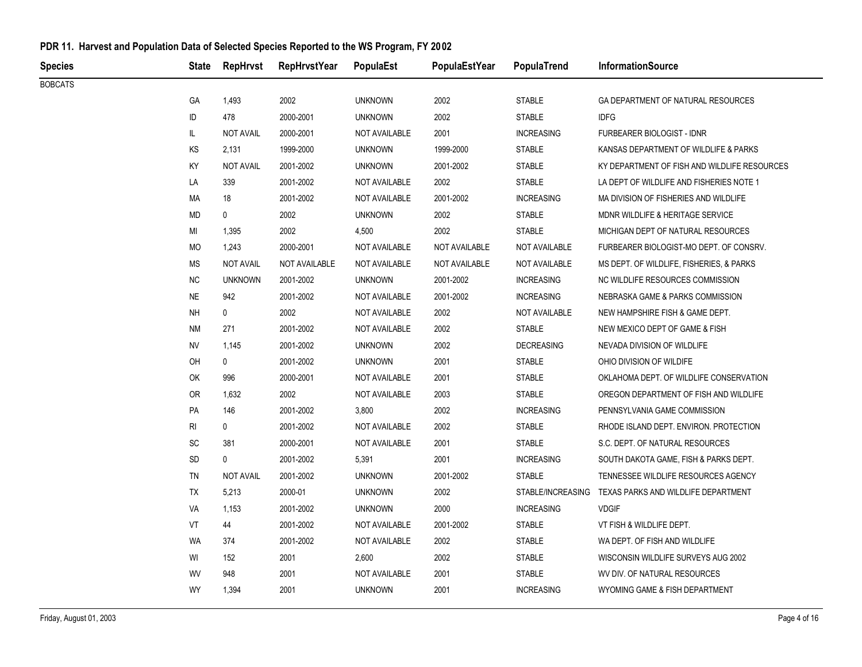| Species        |                              | State RepHrvst   | <b>RepHrvstYear</b> | PopulaEst            | PopulaEstYear | PopulaTrend       | <b>InformationSource</b>                              |
|----------------|------------------------------|------------------|---------------------|----------------------|---------------|-------------------|-------------------------------------------------------|
| <b>BOBCATS</b> |                              |                  |                     |                      |               |                   |                                                       |
|                | GA                           | 1,493            | 2002                | <b>UNKNOWN</b>       | 2002          | <b>STABLE</b>     | GA DEPARTMENT OF NATURAL RESOURCES                    |
|                | ID                           | 478              | 2000-2001           | <b>UNKNOWN</b>       | 2002          | <b>STABLE</b>     | <b>IDFG</b>                                           |
|                | IL.                          | <b>NOT AVAIL</b> | 2000-2001           | NOT AVAILABLE        | 2001          | <b>INCREASING</b> | <b>FURBEARER BIOLOGIST - IDNR</b>                     |
|                | KS                           | 2,131            | 1999-2000           | <b>UNKNOWN</b>       | 1999-2000     | <b>STABLE</b>     | KANSAS DEPARTMENT OF WILDLIFE & PARKS                 |
|                | KY                           | <b>NOT AVAIL</b> | 2001-2002           | <b>UNKNOWN</b>       | 2001-2002     | <b>STABLE</b>     | KY DEPARTMENT OF FISH AND WILDLIFE RESOURCES          |
|                | LA                           | 339              | 2001-2002           | NOT AVAILABLE        | 2002          | <b>STABLE</b>     | LA DEPT OF WILDLIFE AND FISHERIES NOTE 1              |
|                | MA                           | 18               | 2001-2002           | NOT AVAILABLE        | 2001-2002     | <b>INCREASING</b> | MA DIVISION OF FISHERIES AND WILDLIFE                 |
|                | <b>MD</b>                    | 0                | 2002                | <b>UNKNOWN</b>       | 2002          | <b>STABLE</b>     | MDNR WILDLIFE & HERITAGE SERVICE                      |
|                | MI                           | 1,395            | 2002                | 4,500                | 2002          | <b>STABLE</b>     | MICHIGAN DEPT OF NATURAL RESOURCES                    |
|                | MO                           | 1,243            | 2000-2001           | NOT AVAILABLE        | NOT AVAILABLE | NOT AVAILABLE     | FURBEARER BIOLOGIST-MO DEPT. OF CONSRV.               |
|                | <b>MS</b>                    | <b>NOT AVAIL</b> | NOT AVAILABLE       | NOT AVAILABLE        | NOT AVAILABLE | NOT AVAILABLE     | MS DEPT. OF WILDLIFE, FISHERIES, & PARKS              |
|                | NC                           | <b>UNKNOWN</b>   | 2001-2002           | <b>UNKNOWN</b>       | 2001-2002     | <b>INCREASING</b> | NC WILDLIFE RESOURCES COMMISSION                      |
|                | $N\mathsf{E}$                | 942              | 2001-2002           | NOT AVAILABLE        | 2001-2002     | <b>INCREASING</b> | NEBRASKA GAME & PARKS COMMISSION                      |
|                | <b>NH</b>                    | 0                | 2002                | NOT AVAILABLE        | 2002          | NOT AVAILABLE     | NEW HAMPSHIRE FISH & GAME DEPT.                       |
|                | <b>NM</b>                    | 271              | 2001-2002           | NOT AVAILABLE        | 2002          | <b>STABLE</b>     | NEW MEXICO DEPT OF GAME & FISH                        |
|                | <b>NV</b>                    | 1,145            | 2001-2002           | <b>UNKNOWN</b>       | 2002          | <b>DECREASING</b> | NEVADA DIVISION OF WILDLIFE                           |
|                | OH                           | 0                | 2001-2002           | <b>UNKNOWN</b>       | 2001          | <b>STABLE</b>     | OHIO DIVISION OF WILDIFE                              |
|                | OK                           | 996              | 2000-2001           | NOT AVAILABLE        | 2001          | <b>STABLE</b>     | OKLAHOMA DEPT. OF WILDLIFE CONSERVATION               |
|                | 0R                           | 1,632            | 2002                | <b>NOT AVAILABLE</b> | 2003          | <b>STABLE</b>     | OREGON DEPARTMENT OF FISH AND WILDLIFE                |
|                | PA                           | 146              | 2001-2002           | 3,800                | 2002          | <b>INCREASING</b> | PENNSYLVANIA GAME COMMISSION                          |
|                | R <sub>l</sub>               | 0                | 2001-2002           | NOT AVAILABLE        | 2002          | <b>STABLE</b>     | RHODE ISLAND DEPT. ENVIRON. PROTECTION                |
|                | $\operatorname{\textsf{SC}}$ | 381              | 2000-2001           | NOT AVAILABLE        | 2001          | <b>STABLE</b>     | S.C. DEPT. OF NATURAL RESOURCES                       |
|                | SD                           | 0                | 2001-2002           | 5,391                | 2001          | <b>INCREASING</b> | SOUTH DAKOTA GAME, FISH & PARKS DEPT.                 |
|                | <b>TN</b>                    | <b>NOT AVAIL</b> | 2001-2002           | <b>UNKNOWN</b>       | 2001-2002     | <b>STABLE</b>     | TENNESSEE WILDLIFE RESOURCES AGENCY                   |
|                | TX                           | 5,213            | 2000-01             | <b>UNKNOWN</b>       | 2002          |                   | STABLE/INCREASING TEXAS PARKS AND WILDLIFE DEPARTMENT |
|                | VA                           | 1,153            | 2001-2002           | <b>UNKNOWN</b>       | 2000          | <b>INCREASING</b> | <b>VDGIF</b>                                          |
|                | VT                           | 44               | 2001-2002           | NOT AVAILABLE        | 2001-2002     | <b>STABLE</b>     | VT FISH & WILDLIFE DEPT.                              |
|                | <b>WA</b>                    | 374              | 2001-2002           | NOT AVAILABLE        | 2002          | <b>STABLE</b>     | WA DEPT. OF FISH AND WILDLIFE                         |
|                | WI                           | 152              | 2001                | 2,600                | 2002          | <b>STABLE</b>     | WISCONSIN WILDLIFE SURVEYS AUG 2002                   |
|                | WV                           | 948              | 2001                | NOT AVAILABLE        | 2001          | <b>STABLE</b>     | WV DIV. OF NATURAL RESOURCES                          |
|                | WY                           | 1,394            | 2001                | <b>UNKNOWN</b>       | 2001          | <b>INCREASING</b> | WYOMING GAME & FISH DEPARTMENT                        |
|                |                              |                  |                     |                      |               |                   |                                                       |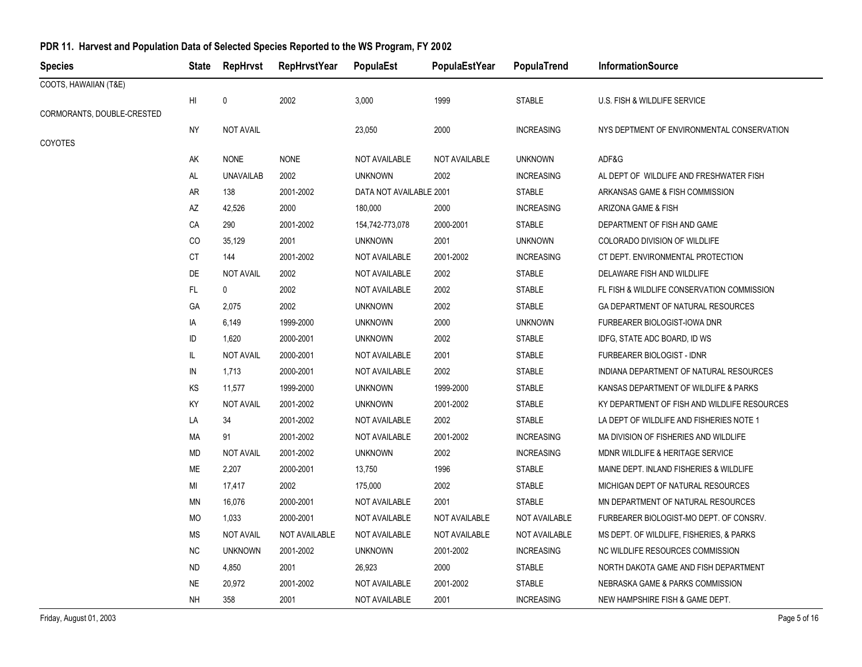| <b>Species</b>             | <b>State</b>  | <b>RepHrvst</b>  | <b>RepHrvstYear</b> | PopulaEst               | PopulaEstYear | PopulaTrend       | <b>InformationSource</b>                     |
|----------------------------|---------------|------------------|---------------------|-------------------------|---------------|-------------------|----------------------------------------------|
| COOTS, HAWAIIAN (T&E)      |               |                  |                     |                         |               |                   |                                              |
|                            | HI            | 0                | 2002                | 3,000                   | 1999          | <b>STABLE</b>     | U.S. FISH & WILDLIFE SERVICE                 |
| CORMORANTS, DOUBLE-CRESTED |               |                  |                     |                         |               |                   |                                              |
|                            | ΝY            | <b>NOT AVAIL</b> |                     | 23,050                  | 2000          | <b>INCREASING</b> | NYS DEPTMENT OF ENVIRONMENTAL CONSERVATION   |
| COYOTES                    |               |                  |                     |                         |               |                   |                                              |
|                            | AK            | <b>NONE</b>      | <b>NONE</b>         | NOT AVAILABLE           | NOT AVAILABLE | <b>UNKNOWN</b>    | ADF&G                                        |
|                            | AL            | <b>UNAVAILAB</b> | 2002                | <b>UNKNOWN</b>          | 2002          | <b>INCREASING</b> | AL DEPT OF WILDLIFE AND FRESHWATER FISH      |
|                            | AR            | 138              | 2001-2002           | DATA NOT AVAILABLE 2001 |               | <b>STABLE</b>     | ARKANSAS GAME & FISH COMMISSION              |
|                            | AZ            | 42,526           | 2000                | 180,000                 | 2000          | <b>INCREASING</b> | ARIZONA GAME & FISH                          |
|                            | CA            | 290              | 2001-2002           | 154,742-773,078         | 2000-2001     | <b>STABLE</b>     | DEPARTMENT OF FISH AND GAME                  |
|                            | CO            | 35,129           | 2001                | <b>UNKNOWN</b>          | 2001          | <b>UNKNOWN</b>    | COLORADO DIVISION OF WILDLIFE                |
|                            | <b>CT</b>     | 144              | 2001-2002           | <b>NOT AVAILABLE</b>    | 2001-2002     | <b>INCREASING</b> | CT DEPT. ENVIRONMENTAL PROTECTION            |
|                            | DE            | <b>NOT AVAIL</b> | 2002                | <b>NOT AVAILABLE</b>    | 2002          | <b>STABLE</b>     | DELAWARE FISH AND WILDLIFE                   |
|                            | $\mathsf{FL}$ | 0                | 2002                | NOT AVAILABLE           | 2002          | <b>STABLE</b>     | FL FISH & WILDLIFE CONSERVATION COMMISSION   |
|                            | GA            | 2,075            | 2002                | <b>UNKNOWN</b>          | 2002          | <b>STABLE</b>     | GA DEPARTMENT OF NATURAL RESOURCES           |
|                            | IA            | 6,149            | 1999-2000           | <b>UNKNOWN</b>          | 2000          | <b>UNKNOWN</b>    | FURBEARER BIOLOGIST-IOWA DNR                 |
|                            | ID            | 1,620            | 2000-2001           | <b>UNKNOWN</b>          | 2002          | <b>STABLE</b>     | IDFG, STATE ADC BOARD, ID WS                 |
|                            | IL.           | <b>NOT AVAIL</b> | 2000-2001           | <b>NOT AVAILABLE</b>    | 2001          | <b>STABLE</b>     | FURBEARER BIOLOGIST - IDNR                   |
|                            | IN            | 1,713            | 2000-2001           | NOT AVAILABLE           | 2002          | <b>STABLE</b>     | INDIANA DEPARTMENT OF NATURAL RESOURCES      |
|                            | KS            | 11,577           | 1999-2000           | <b>UNKNOWN</b>          | 1999-2000     | <b>STABLE</b>     | KANSAS DEPARTMENT OF WILDLIFE & PARKS        |
|                            | KY            | <b>NOT AVAIL</b> | 2001-2002           | <b>UNKNOWN</b>          | 2001-2002     | <b>STABLE</b>     | KY DEPARTMENT OF FISH AND WILDLIFE RESOURCES |
|                            | LA            | 34               | 2001-2002           | NOT AVAILABLE           | 2002          | <b>STABLE</b>     | LA DEPT OF WILDLIFE AND FISHERIES NOTE 1     |
|                            | МA            | 91               | 2001-2002           | <b>NOT AVAILABLE</b>    | 2001-2002     | <b>INCREASING</b> | MA DIVISION OF FISHERIES AND WILDLIFE        |
|                            | <b>MD</b>     | <b>NOT AVAIL</b> | 2001-2002           | <b>UNKNOWN</b>          | 2002          | <b>INCREASING</b> | MDNR WILDLIFE & HERITAGE SERVICE             |
|                            | ME            | 2,207            | 2000-2001           | 13,750                  | 1996          | <b>STABLE</b>     | MAINE DEPT. INLAND FISHERIES & WILDLIFE      |
|                            | MI            | 17,417           | 2002                | 175,000                 | 2002          | <b>STABLE</b>     | MICHIGAN DEPT OF NATURAL RESOURCES           |
|                            | MN            | 16,076           | 2000-2001           | <b>NOT AVAILABLE</b>    | 2001          | <b>STABLE</b>     | MN DEPARTMENT OF NATURAL RESOURCES           |
|                            | <b>MO</b>     | 1,033            | 2000-2001           | NOT AVAILABLE           | NOT AVAILABLE | NOT AVAILABLE     | FURBEARER BIOLOGIST-MO DEPT. OF CONSRV.      |
|                            | <b>MS</b>     | <b>NOT AVAIL</b> | NOT AVAILABLE       | NOT AVAILABLE           | NOT AVAILABLE | NOT AVAILABLE     | MS DEPT. OF WILDLIFE, FISHERIES, & PARKS     |
|                            | ΝC            | <b>UNKNOWN</b>   | 2001-2002           | <b>UNKNOWN</b>          | 2001-2002     | <b>INCREASING</b> | NC WILDLIFE RESOURCES COMMISSION             |
|                            | <b>ND</b>     | 4,850            | 2001                | 26,923                  | 2000          | <b>STABLE</b>     | NORTH DAKOTA GAME AND FISH DEPARTMENT        |
|                            | <b>NE</b>     | 20,972           | 2001-2002           | <b>NOT AVAILABLE</b>    | 2001-2002     | <b>STABLE</b>     | NEBRASKA GAME & PARKS COMMISSION             |
|                            | <b>NH</b>     | 358              | 2001                | NOT AVAILABLE           | 2001          | <b>INCREASING</b> | NEW HAMPSHIRE FISH & GAME DEPT.              |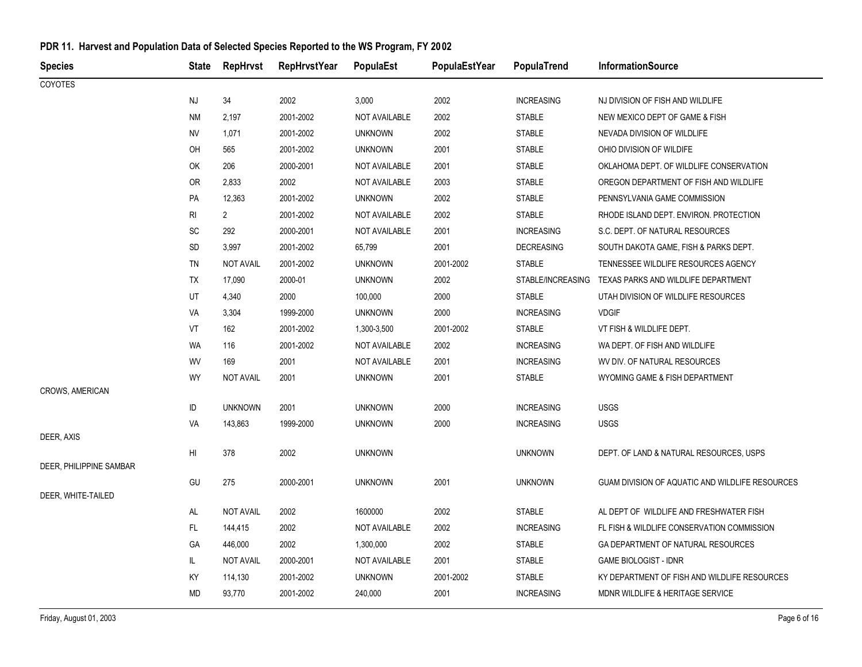| <b>Species</b>          | <b>State</b> | <b>RepHrvst</b>  | <b>RepHrvstYear</b> | PopulaEst      | PopulaEstYear | PopulaTrend       | <b>InformationSource</b>                        |
|-------------------------|--------------|------------------|---------------------|----------------|---------------|-------------------|-------------------------------------------------|
| <b>COYOTES</b>          |              |                  |                     |                |               |                   |                                                 |
|                         | NJ           | 34               | 2002                | 3,000          | 2002          | <b>INCREASING</b> | NJ DIVISION OF FISH AND WILDLIFE                |
|                         | ΝM           | 2,197            | 2001-2002           | NOT AVAILABLE  | 2002          | <b>STABLE</b>     | NEW MEXICO DEPT OF GAME & FISH                  |
|                         | <b>NV</b>    | 1,071            | 2001-2002           | <b>UNKNOWN</b> | 2002          | <b>STABLE</b>     | NEVADA DIVISION OF WILDLIFE                     |
|                         | OH           | 565              | 2001-2002           | <b>UNKNOWN</b> | 2001          | <b>STABLE</b>     | OHIO DIVISION OF WILDIFE                        |
|                         | OK           | 206              | 2000-2001           | NOT AVAILABLE  | 2001          | <b>STABLE</b>     | OKLAHOMA DEPT. OF WILDLIFE CONSERVATION         |
|                         | 0R           | 2,833            | 2002                | NOT AVAILABLE  | 2003          | <b>STABLE</b>     | OREGON DEPARTMENT OF FISH AND WILDLIFE          |
|                         | <b>PA</b>    | 12,363           | 2001-2002           | <b>UNKNOWN</b> | 2002          | <b>STABLE</b>     | PENNSYLVANIA GAME COMMISSION                    |
|                         | RI           | $\mathbf{2}$     | 2001-2002           | NOT AVAILABLE  | 2002          | <b>STABLE</b>     | RHODE ISLAND DEPT. ENVIRON. PROTECTION          |
|                         | SC           | 292              | 2000-2001           | NOT AVAILABLE  | 2001          | <b>INCREASING</b> | S.C. DEPT. OF NATURAL RESOURCES                 |
|                         | SD           | 3,997            | 2001-2002           | 65,799         | 2001          | <b>DECREASING</b> | SOUTH DAKOTA GAME, FISH & PARKS DEPT.           |
|                         | <b>TN</b>    | <b>NOT AVAIL</b> | 2001-2002           | <b>UNKNOWN</b> | 2001-2002     | <b>STABLE</b>     | TENNESSEE WILDLIFE RESOURCES AGENCY             |
|                         | TX           | 17,090           | 2000-01             | <b>UNKNOWN</b> | 2002          | STABLE/INCREASING | TEXAS PARKS AND WILDLIFE DEPARTMENT             |
|                         | UT           | 4,340            | 2000                | 100,000        | 2000          | <b>STABLE</b>     | UTAH DIVISION OF WILDLIFE RESOURCES             |
|                         | VA           | 3,304            | 1999-2000           | <b>UNKNOWN</b> | 2000          | <b>INCREASING</b> | <b>VDGIF</b>                                    |
|                         | VT           | 162              | 2001-2002           | 1,300-3,500    | 2001-2002     | <b>STABLE</b>     | VT FISH & WILDLIFE DEPT.                        |
|                         | WA           | 116              | 2001-2002           | NOT AVAILABLE  | 2002          | <b>INCREASING</b> | WA DEPT. OF FISH AND WILDLIFE                   |
|                         | WV           | 169              | 2001                | NOT AVAILABLE  | 2001          | <b>INCREASING</b> | WV DIV. OF NATURAL RESOURCES                    |
|                         | <b>WY</b>    | <b>NOT AVAIL</b> | 2001                | <b>UNKNOWN</b> | 2001          | <b>STABLE</b>     | WYOMING GAME & FISH DEPARTMENT                  |
| CROWS, AMERICAN         |              |                  |                     |                |               |                   |                                                 |
|                         | ID           | <b>UNKNOWN</b>   | 2001                | <b>UNKNOWN</b> | 2000          | <b>INCREASING</b> | <b>USGS</b>                                     |
|                         | VA           | 143,863          | 1999-2000           | <b>UNKNOWN</b> | 2000          | <b>INCREASING</b> | <b>USGS</b>                                     |
| DEER, AXIS              |              |                  |                     |                |               |                   |                                                 |
| DEER, PHILIPPINE SAMBAR | HI           | 378              | 2002                | <b>UNKNOWN</b> |               | <b>UNKNOWN</b>    | DEPT. OF LAND & NATURAL RESOURCES, USPS         |
|                         | GU           | 275              | 2000-2001           | <b>UNKNOWN</b> | 2001          | <b>UNKNOWN</b>    | GUAM DIVISION OF AQUATIC AND WILDLIFE RESOURCES |
| DEER, WHITE-TAILED      |              |                  |                     |                |               |                   |                                                 |
|                         | AL           | <b>NOT AVAIL</b> | 2002                | 1600000        | 2002          | <b>STABLE</b>     | AL DEPT OF WILDLIFE AND FRESHWATER FISH         |
|                         | FL.          | 144,415          | 2002                | NOT AVAILABLE  | 2002          | <b>INCREASING</b> | FL FISH & WILDLIFE CONSERVATION COMMISSION      |
|                         | GA           | 446,000          | 2002                | 1,300,000      | 2002          | <b>STABLE</b>     | GA DEPARTMENT OF NATURAL RESOURCES              |
|                         | IL.          | <b>NOT AVAIL</b> | 2000-2001           | NOT AVAILABLE  | 2001          | <b>STABLE</b>     | <b>GAME BIOLOGIST - IDNR</b>                    |
|                         | KY           | 114,130          | 2001-2002           | <b>UNKNOWN</b> | 2001-2002     | <b>STABLE</b>     | KY DEPARTMENT OF FISH AND WILDLIFE RESOURCES    |
|                         | <b>MD</b>    | 93,770           | 2001-2002           | 240,000        | 2001          | <b>INCREASING</b> | MDNR WILDLIFE & HERITAGE SERVICE                |
|                         |              |                  |                     |                |               |                   |                                                 |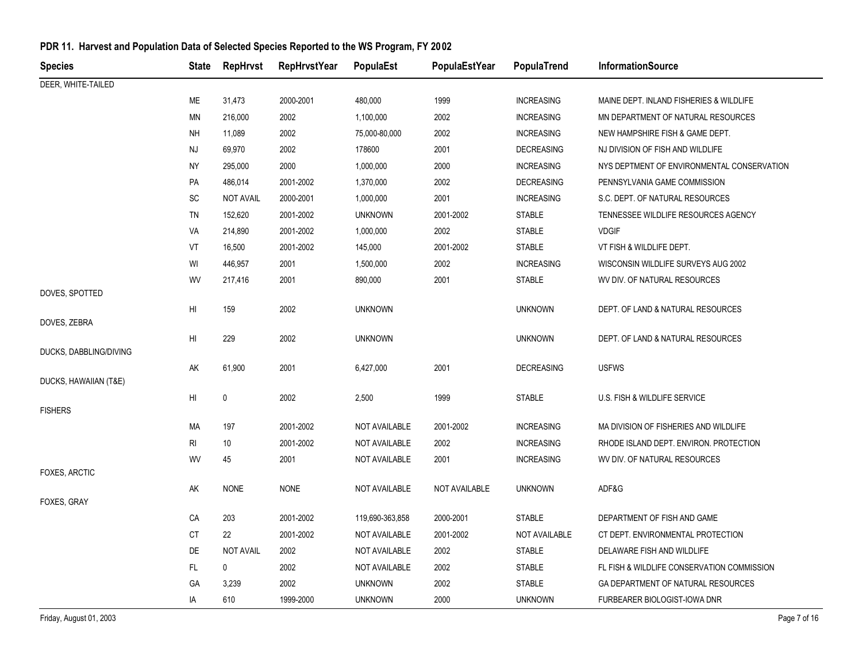| <b>Species</b>         | <b>State</b>           | <b>RepHrvst</b>  | <b>RepHrvstYear</b> | PopulaEst       | PopulaEstYear | PopulaTrend       | <b>InformationSource</b>                   |
|------------------------|------------------------|------------------|---------------------|-----------------|---------------|-------------------|--------------------------------------------|
| DEER, WHITE-TAILED     |                        |                  |                     |                 |               |                   |                                            |
|                        | МE                     | 31,473           | 2000-2001           | 480,000         | 1999          | <b>INCREASING</b> | MAINE DEPT. INLAND FISHERIES & WILDLIFE    |
|                        | MN                     | 216,000          | 2002                | 1,100,000       | 2002          | <b>INCREASING</b> | MN DEPARTMENT OF NATURAL RESOURCES         |
|                        | NΗ                     | 11,089           | 2002                | 75,000-80,000   | 2002          | <b>INCREASING</b> | NEW HAMPSHIRE FISH & GAME DEPT.            |
|                        | NJ                     | 69,970           | 2002                | 178600          | 2001          | <b>DECREASING</b> | NJ DIVISION OF FISH AND WILDLIFE           |
|                        | NY                     | 295,000          | 2000                | 1,000,000       | 2000          | <b>INCREASING</b> | NYS DEPTMENT OF ENVIRONMENTAL CONSERVATION |
|                        | PA                     | 486,014          | 2001-2002           | 1,370,000       | 2002          | <b>DECREASING</b> | PENNSYLVANIA GAME COMMISSION               |
|                        | <b>SC</b>              | <b>NOT AVAIL</b> | 2000-2001           | 1,000,000       | 2001          | <b>INCREASING</b> | S.C. DEPT. OF NATURAL RESOURCES            |
|                        | TN                     | 152,620          | 2001-2002           | <b>UNKNOWN</b>  | 2001-2002     | <b>STABLE</b>     | TENNESSEE WILDLIFE RESOURCES AGENCY        |
|                        | VA                     | 214,890          | 2001-2002           | 1,000,000       | 2002          | <b>STABLE</b>     | <b>VDGIF</b>                               |
|                        | VT                     | 16,500           | 2001-2002           | 145,000         | 2001-2002     | <b>STABLE</b>     | VT FISH & WILDLIFE DEPT.                   |
|                        | WI                     | 446,957          | 2001                | 1,500,000       | 2002          | <b>INCREASING</b> | WISCONSIN WILDLIFE SURVEYS AUG 2002        |
|                        | WV                     | 217,416          | 2001                | 890,000         | 2001          | <b>STABLE</b>     | WV DIV. OF NATURAL RESOURCES               |
| DOVES, SPOTTED         |                        |                  |                     |                 |               |                   |                                            |
|                        | H <sub>II</sub>        | 159              | 2002                | <b>UNKNOWN</b>  |               | <b>UNKNOWN</b>    | DEPT. OF LAND & NATURAL RESOURCES          |
| DOVES, ZEBRA           |                        |                  |                     |                 |               |                   |                                            |
| DUCKS, DABBLING/DIVING | $\mathsf{H}\mathsf{I}$ | 229              | 2002                | <b>UNKNOWN</b>  |               | <b>UNKNOWN</b>    | DEPT. OF LAND & NATURAL RESOURCES          |
|                        | AK                     | 61,900           | 2001                | 6,427,000       | 2001          | <b>DECREASING</b> | <b>USFWS</b>                               |
| DUCKS, HAWAIIAN (T&E)  |                        |                  |                     |                 |               |                   |                                            |
|                        | H <sub>II</sub>        | $\mathbf 0$      | 2002                | 2,500           | 1999          | <b>STABLE</b>     | U.S. FISH & WILDLIFE SERVICE               |
| <b>FISHERS</b>         |                        |                  |                     |                 |               |                   |                                            |
|                        | MA                     | 197              | 2001-2002           | NOT AVAILABLE   | 2001-2002     | <b>INCREASING</b> | MA DIVISION OF FISHERIES AND WILDLIFE      |
|                        | R <sub>l</sub>         | 10               | 2001-2002           | NOT AVAILABLE   | 2002          | <b>INCREASING</b> | RHODE ISLAND DEPT. ENVIRON. PROTECTION     |
|                        | WV                     | 45               | 2001                | NOT AVAILABLE   | 2001          | <b>INCREASING</b> | WV DIV. OF NATURAL RESOURCES               |
| FOXES, ARCTIC          |                        |                  |                     |                 |               |                   |                                            |
| FOXES, GRAY            | AK                     | <b>NONE</b>      | <b>NONE</b>         | NOT AVAILABLE   | NOT AVAILABLE | <b>UNKNOWN</b>    | ADF&G                                      |
|                        | CA                     | 203              | 2001-2002           | 119,690-363,858 | 2000-2001     | <b>STABLE</b>     | DEPARTMENT OF FISH AND GAME                |
|                        | СT                     | 22               | 2001-2002           | NOT AVAILABLE   | 2001-2002     | NOT AVAILABLE     | CT DEPT. ENVIRONMENTAL PROTECTION          |
|                        | DE                     | <b>NOT AVAIL</b> | 2002                | NOT AVAILABLE   | 2002          | <b>STABLE</b>     | DELAWARE FISH AND WILDLIFE                 |
|                        | FL                     | 0                | 2002                | NOT AVAILABLE   | 2002          | <b>STABLE</b>     | FL FISH & WILDLIFE CONSERVATION COMMISSION |
|                        | GA                     | 3,239            | 2002                | <b>UNKNOWN</b>  | 2002          | <b>STABLE</b>     | GA DEPARTMENT OF NATURAL RESOURCES         |
|                        |                        |                  |                     |                 |               |                   |                                            |
|                        | IA                     | 610              | 1999-2000           | <b>UNKNOWN</b>  | 2000          | <b>UNKNOWN</b>    | <b>FURBEARER BIOLOGIST-IOWA DNR</b>        |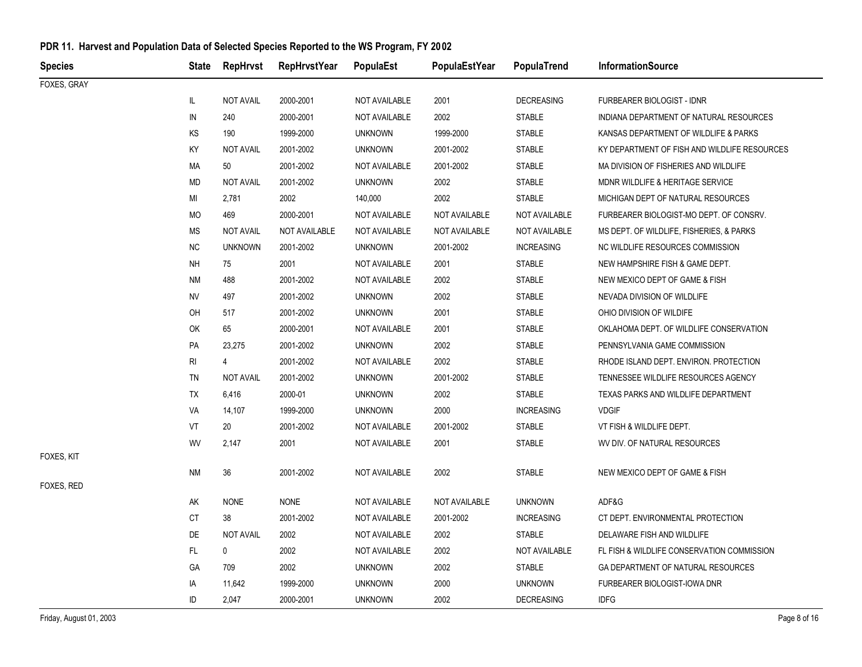| <b>Species</b> | State     | RepHrvst         | <b>RepHrvstYear</b> | PopulaEst      | PopulaEstYear | PopulaTrend       | <b>InformationSource</b>                     |
|----------------|-----------|------------------|---------------------|----------------|---------------|-------------------|----------------------------------------------|
| FOXES, GRAY    |           |                  |                     |                |               |                   |                                              |
|                | IL.       | <b>NOT AVAIL</b> | 2000-2001           | NOT AVAILABLE  | 2001          | <b>DECREASING</b> | FURBEARER BIOLOGIST - IDNR                   |
|                | IN        | 240              | 2000-2001           | NOT AVAILABLE  | 2002          | <b>STABLE</b>     | INDIANA DEPARTMENT OF NATURAL RESOURCES      |
|                | KS        | 190              | 1999-2000           | <b>UNKNOWN</b> | 1999-2000     | <b>STABLE</b>     | KANSAS DEPARTMENT OF WILDLIFE & PARKS        |
|                | KY        | <b>NOT AVAIL</b> | 2001-2002           | <b>UNKNOWN</b> | 2001-2002     | <b>STABLE</b>     | KY DEPARTMENT OF FISH AND WILDLIFE RESOURCES |
|                | МA        | 50               | 2001-2002           | NOT AVAILABLE  | 2001-2002     | <b>STABLE</b>     | MA DIVISION OF FISHERIES AND WILDLIFE        |
|                | <b>MD</b> | <b>NOT AVAIL</b> | 2001-2002           | <b>UNKNOWN</b> | 2002          | <b>STABLE</b>     | MDNR WILDLIFE & HERITAGE SERVICE             |
|                | MI        | 2,781            | 2002                | 140,000        | 2002          | <b>STABLE</b>     | MICHIGAN DEPT OF NATURAL RESOURCES           |
|                | MO        | 469              | 2000-2001           | NOT AVAILABLE  | NOT AVAILABLE | NOT AVAILABLE     | FURBEARER BIOLOGIST-MO DEPT. OF CONSRV.      |
|                | MS        | <b>NOT AVAIL</b> | NOT AVAILABLE       | NOT AVAILABLE  | NOT AVAILABLE | NOT AVAILABLE     | MS DEPT. OF WILDLIFE, FISHERIES, & PARKS     |
|                | <b>NC</b> | <b>UNKNOWN</b>   | 2001-2002           | <b>UNKNOWN</b> | 2001-2002     | <b>INCREASING</b> | NC WILDLIFE RESOURCES COMMISSION             |
|                | <b>NH</b> | 75               | 2001                | NOT AVAILABLE  | 2001          | <b>STABLE</b>     | NEW HAMPSHIRE FISH & GAME DEPT.              |
|                | NM        | 488              | 2001-2002           | NOT AVAILABLE  | 2002          | <b>STABLE</b>     | NEW MEXICO DEPT OF GAME & FISH               |
|                | NV        | 497              | 2001-2002           | <b>UNKNOWN</b> | 2002          | <b>STABLE</b>     | NEVADA DIVISION OF WILDLIFE                  |
|                | OH        | 517              | 2001-2002           | <b>UNKNOWN</b> | 2001          | <b>STABLE</b>     | OHIO DIVISION OF WILDIFE                     |
|                | OK        | 65               | 2000-2001           | NOT AVAILABLE  | 2001          | <b>STABLE</b>     | OKLAHOMA DEPT. OF WILDLIFE CONSERVATION      |
|                | PA        | 23,275           | 2001-2002           | <b>UNKNOWN</b> | 2002          | <b>STABLE</b>     | PENNSYLVANIA GAME COMMISSION                 |
|                | RI        | 4                | 2001-2002           | NOT AVAILABLE  | 2002          | STABLE            | RHODE ISLAND DEPT. ENVIRON. PROTECTION       |
|                | TN        | <b>NOT AVAIL</b> | 2001-2002           | <b>UNKNOWN</b> | 2001-2002     | <b>STABLE</b>     | TENNESSEE WILDLIFE RESOURCES AGENCY          |
|                | <b>TX</b> | 6,416            | 2000-01             | <b>UNKNOWN</b> | 2002          | <b>STABLE</b>     | TEXAS PARKS AND WILDLIFE DEPARTMENT          |
|                | VA        | 14,107           | 1999-2000           | <b>UNKNOWN</b> | 2000          | <b>INCREASING</b> | <b>VDGIF</b>                                 |
|                | VT        | 20               | 2001-2002           | NOT AVAILABLE  | 2001-2002     | <b>STABLE</b>     | VT FISH & WILDLIFE DEPT.                     |
|                | WV        | 2,147            | 2001                | NOT AVAILABLE  | 2001          | <b>STABLE</b>     | WV DIV. OF NATURAL RESOURCES                 |
| FOXES, KIT     |           |                  |                     |                |               |                   |                                              |
|                | <b>NM</b> | 36               | 2001-2002           | NOT AVAILABLE  | 2002          | <b>STABLE</b>     | NEW MEXICO DEPT OF GAME & FISH               |
| FOXES, RED     |           |                  |                     |                |               |                   |                                              |
|                | AK        | <b>NONE</b>      | <b>NONE</b>         | NOT AVAILABLE  | NOT AVAILABLE | <b>UNKNOWN</b>    | ADF&G                                        |
|                | СT        | 38               | 2001-2002           | NOT AVAILABLE  | 2001-2002     | <b>INCREASING</b> | CT DEPT. ENVIRONMENTAL PROTECTION            |
|                | DE        | <b>NOT AVAIL</b> | 2002                | NOT AVAILABLE  | 2002          | <b>STABLE</b>     | DELAWARE FISH AND WILDLIFE                   |
|                | FL.       | 0                | 2002                | NOT AVAILABLE  | 2002          | NOT AVAILABLE     | FL FISH & WILDLIFE CONSERVATION COMMISSION   |
|                | GA        | 709              | 2002                | <b>UNKNOWN</b> | 2002          | <b>STABLE</b>     | GA DEPARTMENT OF NATURAL RESOURCES           |
|                | IA        | 11,642           | 1999-2000           | <b>UNKNOWN</b> | 2000          | <b>UNKNOWN</b>    | FURBEARER BIOLOGIST-IOWA DNR                 |
|                | ID        | 2,047            | 2000-2001           | <b>UNKNOWN</b> | 2002          | <b>DECREASING</b> | <b>IDFG</b>                                  |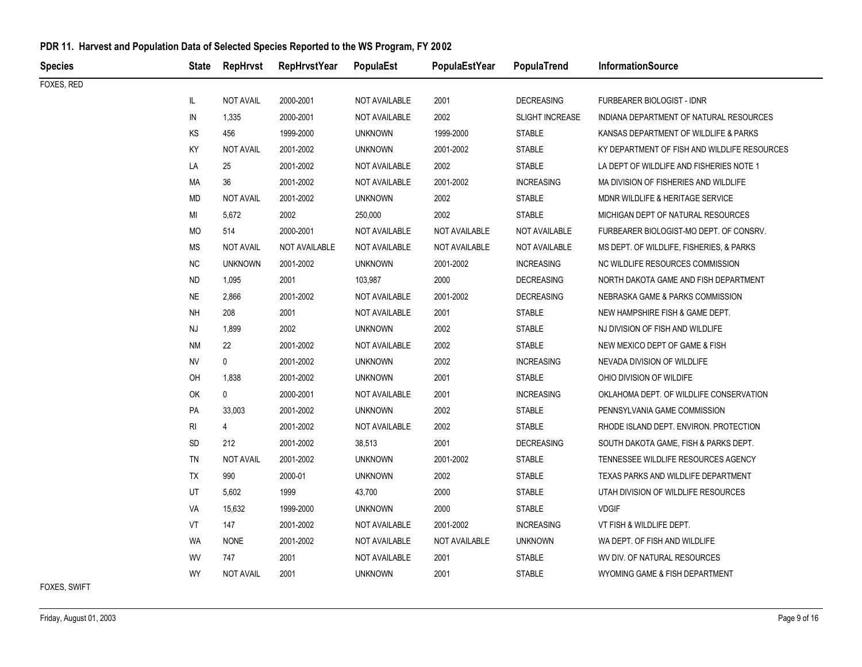| <b>Species</b> |           | State RepHrvst   | RepHrvstYear  | PopulaEst      | PopulaEstYear | PopulaTrend            | <b>InformationSource</b>                     |
|----------------|-----------|------------------|---------------|----------------|---------------|------------------------|----------------------------------------------|
| FOXES, RED     |           |                  |               |                |               |                        |                                              |
|                | IL.       | <b>NOT AVAIL</b> | 2000-2001     | NOT AVAILABLE  | 2001          | <b>DECREASING</b>      | <b>FURBEARER BIOLOGIST - IDNR</b>            |
|                | IN        | 1,335            | 2000-2001     | NOT AVAILABLE  | 2002          | <b>SLIGHT INCREASE</b> | INDIANA DEPARTMENT OF NATURAL RESOURCES      |
|                | KS        | 456              | 1999-2000     | <b>UNKNOWN</b> | 1999-2000     | <b>STABLE</b>          | KANSAS DEPARTMENT OF WILDLIFE & PARKS        |
|                | KY        | <b>NOT AVAIL</b> | 2001-2002     | <b>UNKNOWN</b> | 2001-2002     | <b>STABLE</b>          | KY DEPARTMENT OF FISH AND WILDLIFE RESOURCES |
|                | LA        | 25               | 2001-2002     | NOT AVAILABLE  | 2002          | <b>STABLE</b>          | LA DEPT OF WILDLIFE AND FISHERIES NOTE 1     |
|                | МA        | 36               | 2001-2002     | NOT AVAILABLE  | 2001-2002     | <b>INCREASING</b>      | MA DIVISION OF FISHERIES AND WILDLIFE        |
|                | <b>MD</b> | <b>NOT AVAIL</b> | 2001-2002     | <b>UNKNOWN</b> | 2002          | <b>STABLE</b>          | MDNR WILDLIFE & HERITAGE SERVICE             |
|                | MI        | 5,672            | 2002          | 250,000        | 2002          | <b>STABLE</b>          | MICHIGAN DEPT OF NATURAL RESOURCES           |
|                | MO        | 514              | 2000-2001     | NOT AVAILABLE  | NOT AVAILABLE | NOT AVAILABLE          | FURBEARER BIOLOGIST-MO DEPT. OF CONSRV.      |
|                | MS        | <b>NOT AVAIL</b> | NOT AVAILABLE | NOT AVAILABLE  | NOT AVAILABLE | NOT AVAILABLE          | MS DEPT. OF WILDLIFE, FISHERIES, & PARKS     |
|                | NC.       | <b>UNKNOWN</b>   | 2001-2002     | <b>UNKNOWN</b> | 2001-2002     | <b>INCREASING</b>      | NC WILDLIFE RESOURCES COMMISSION             |
|                | ND.       | 1,095            | 2001          | 103,987        | 2000          | <b>DECREASING</b>      | NORTH DAKOTA GAME AND FISH DEPARTMENT        |
|                | <b>NE</b> | 2,866            | 2001-2002     | NOT AVAILABLE  | 2001-2002     | <b>DECREASING</b>      | NEBRASKA GAME & PARKS COMMISSION             |
|                | <b>NH</b> | 208              | 2001          | NOT AVAILABLE  | 2001          | <b>STABLE</b>          | NEW HAMPSHIRE FISH & GAME DEPT.              |
|                | NJ        | 1,899            | 2002          | <b>UNKNOWN</b> | 2002          | STABLE                 | NJ DIVISION OF FISH AND WILDLIFE             |
|                | <b>NM</b> | 22               | 2001-2002     | NOT AVAILABLE  | 2002          | <b>STABLE</b>          | NEW MEXICO DEPT OF GAME & FISH               |
|                | <b>NV</b> | 0                | 2001-2002     | <b>UNKNOWN</b> | 2002          | <b>INCREASING</b>      | NEVADA DIVISION OF WILDLIFE                  |
|                | OH        | 1,838            | 2001-2002     | <b>UNKNOWN</b> | 2001          | <b>STABLE</b>          | OHIO DIVISION OF WILDIFE                     |
|                | OK        | $\mathbf 0$      | 2000-2001     | NOT AVAILABLE  | 2001          | <b>INCREASING</b>      | OKLAHOMA DEPT. OF WILDLIFE CONSERVATION      |
|                | PA        | 33,003           | 2001-2002     | <b>UNKNOWN</b> | 2002          | STABLE                 | PENNSYLVANIA GAME COMMISSION                 |
|                | RI        | 4                | 2001-2002     | NOT AVAILABLE  | 2002          | <b>STABLE</b>          | RHODE ISLAND DEPT. ENVIRON. PROTECTION       |
|                | <b>SD</b> | 212              | 2001-2002     | 38,513         | 2001          | <b>DECREASING</b>      | SOUTH DAKOTA GAME, FISH & PARKS DEPT.        |
|                | TN        | <b>NOT AVAIL</b> | 2001-2002     | <b>UNKNOWN</b> | 2001-2002     | <b>STABLE</b>          | TENNESSEE WILDLIFE RESOURCES AGENCY          |
|                | TX        | 990              | 2000-01       | <b>UNKNOWN</b> | 2002          | <b>STABLE</b>          | TEXAS PARKS AND WILDLIFE DEPARTMENT          |
|                | UT        | 5,602            | 1999          | 43,700         | 2000          | STABLE                 | UTAH DIVISION OF WILDLIFE RESOURCES          |
|                | VA        | 15,632           | 1999-2000     | <b>UNKNOWN</b> | 2000          | <b>STABLE</b>          | <b>VDGIF</b>                                 |
|                | VT        | 147              | 2001-2002     | NOT AVAILABLE  | 2001-2002     | <b>INCREASING</b>      | VT FISH & WILDLIFE DEPT.                     |
|                | <b>WA</b> | <b>NONE</b>      | 2001-2002     | NOT AVAILABLE  | NOT AVAILABLE | <b>UNKNOWN</b>         | WA DEPT. OF FISH AND WILDLIFE                |
|                | WV        | 747              | 2001          | NOT AVAILABLE  | 2001          | <b>STABLE</b>          | WV DIV. OF NATURAL RESOURCES                 |
|                | <b>WY</b> | <b>NOT AVAIL</b> | 2001          | <b>UNKNOWN</b> | 2001          | <b>STABLE</b>          | WYOMING GAME & FISH DEPARTMENT               |
| FOXES, SWIFT   |           |                  |               |                |               |                        |                                              |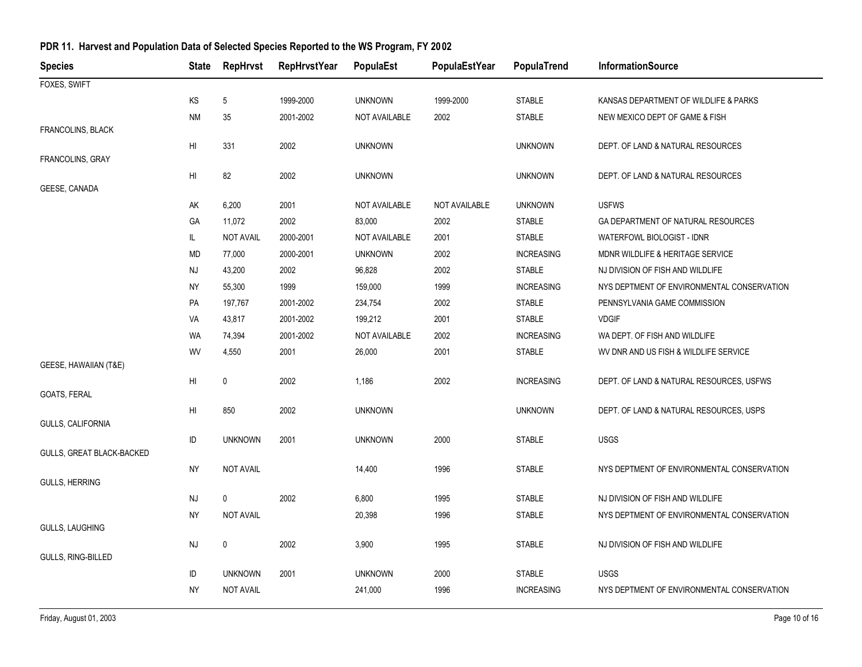| <b>Species</b>            | <b>State</b>   | <b>RepHrvst</b>  | <b>RepHrvstYear</b> | PopulaEst      | PopulaEstYear | PopulaTrend       | <b>InformationSource</b>                   |
|---------------------------|----------------|------------------|---------------------|----------------|---------------|-------------------|--------------------------------------------|
| FOXES, SWIFT              |                |                  |                     |                |               |                   |                                            |
|                           | KS             | 5                | 1999-2000           | <b>UNKNOWN</b> | 1999-2000     | <b>STABLE</b>     | KANSAS DEPARTMENT OF WILDLIFE & PARKS      |
|                           | <b>NM</b>      | 35               | 2001-2002           | NOT AVAILABLE  | 2002          | <b>STABLE</b>     | NEW MEXICO DEPT OF GAME & FISH             |
| FRANCOLINS, BLACK         |                |                  |                     |                |               |                   |                                            |
|                           | HI             | 331              | 2002                | <b>UNKNOWN</b> |               | <b>UNKNOWN</b>    | DEPT. OF LAND & NATURAL RESOURCES          |
| <b>FRANCOLINS, GRAY</b>   |                |                  |                     |                |               |                   |                                            |
| GEESE, CANADA             | HI             | 82               | 2002                | <b>UNKNOWN</b> |               | <b>UNKNOWN</b>    | DEPT. OF LAND & NATURAL RESOURCES          |
|                           | AK             | 6,200            | 2001                | NOT AVAILABLE  | NOT AVAILABLE | <b>UNKNOWN</b>    | <b>USFWS</b>                               |
|                           | GA             | 11,072           | 2002                | 83,000         | 2002          | <b>STABLE</b>     | GA DEPARTMENT OF NATURAL RESOURCES         |
|                           | IL.            | <b>NOT AVAIL</b> | 2000-2001           | NOT AVAILABLE  | 2001          | <b>STABLE</b>     | WATERFOWL BIOLOGIST - IDNR                 |
|                           | MD             | 77,000           | 2000-2001           | <b>UNKNOWN</b> | 2002          | <b>INCREASING</b> | MDNR WILDLIFE & HERITAGE SERVICE           |
|                           | NJ             | 43,200           | 2002                | 96,828         | 2002          | <b>STABLE</b>     | NJ DIVISION OF FISH AND WILDLIFE           |
|                           | <b>NY</b>      | 55,300           | 1999                | 159,000        | 1999          | <b>INCREASING</b> | NYS DEPTMENT OF ENVIRONMENTAL CONSERVATION |
|                           | PA             | 197,767          | 2001-2002           | 234,754        | 2002          | <b>STABLE</b>     | PENNSYLVANIA GAME COMMISSION               |
|                           | VA             | 43,817           | 2001-2002           | 199,212        | 2001          | <b>STABLE</b>     | <b>VDGIF</b>                               |
|                           | WA             | 74,394           | 2001-2002           | NOT AVAILABLE  | 2002          | <b>INCREASING</b> | WA DEPT. OF FISH AND WILDLIFE              |
|                           | WV             | 4,550            | 2001                | 26,000         | 2001          | <b>STABLE</b>     | WV DNR AND US FISH & WILDLIFE SERVICE      |
| GEESE, HAWAIIAN (T&E)     |                |                  |                     |                |               |                   |                                            |
|                           | HI             | $\mathbf 0$      | 2002                | 1,186          | 2002          | <b>INCREASING</b> | DEPT. OF LAND & NATURAL RESOURCES, USFWS   |
| GOATS, FERAL              |                |                  |                     |                |               |                   |                                            |
| GULLS, CALIFORNIA         | H <sub>l</sub> | 850              | 2002                | <b>UNKNOWN</b> |               | <b>UNKNOWN</b>    | DEPT. OF LAND & NATURAL RESOURCES, USPS    |
|                           | ID             | <b>UNKNOWN</b>   | 2001                | <b>UNKNOWN</b> | 2000          | <b>STABLE</b>     | <b>USGS</b>                                |
| GULLS, GREAT BLACK-BACKED |                |                  |                     |                |               |                   |                                            |
|                           | <b>NY</b>      | <b>NOT AVAIL</b> |                     | 14,400         | 1996          | <b>STABLE</b>     | NYS DEPTMENT OF ENVIRONMENTAL CONSERVATION |
| <b>GULLS, HERRING</b>     |                |                  |                     |                |               |                   |                                            |
|                           | NJ             | $\mathbf 0$      | 2002                | 6,800          | 1995          | <b>STABLE</b>     | NJ DIVISION OF FISH AND WILDLIFE           |
|                           | NY             | <b>NOT AVAIL</b> |                     | 20,398         | 1996          | <b>STABLE</b>     | NYS DEPTMENT OF ENVIRONMENTAL CONSERVATION |
| GULLS, LAUGHING           |                |                  |                     |                |               |                   |                                            |
|                           | NJ             | 0                | 2002                | 3,900          | 1995          | <b>STABLE</b>     | NJ DIVISION OF FISH AND WILDLIFE           |
| GULLS, RING-BILLED        |                |                  |                     |                |               |                   |                                            |
|                           | ID             | <b>UNKNOWN</b>   | 2001                | <b>UNKNOWN</b> | 2000          | STABLE            | <b>USGS</b>                                |
|                           | <b>NY</b>      | <b>NOT AVAIL</b> |                     | 241,000        | 1996          | <b>INCREASING</b> | NYS DEPTMENT OF ENVIRONMENTAL CONSERVATION |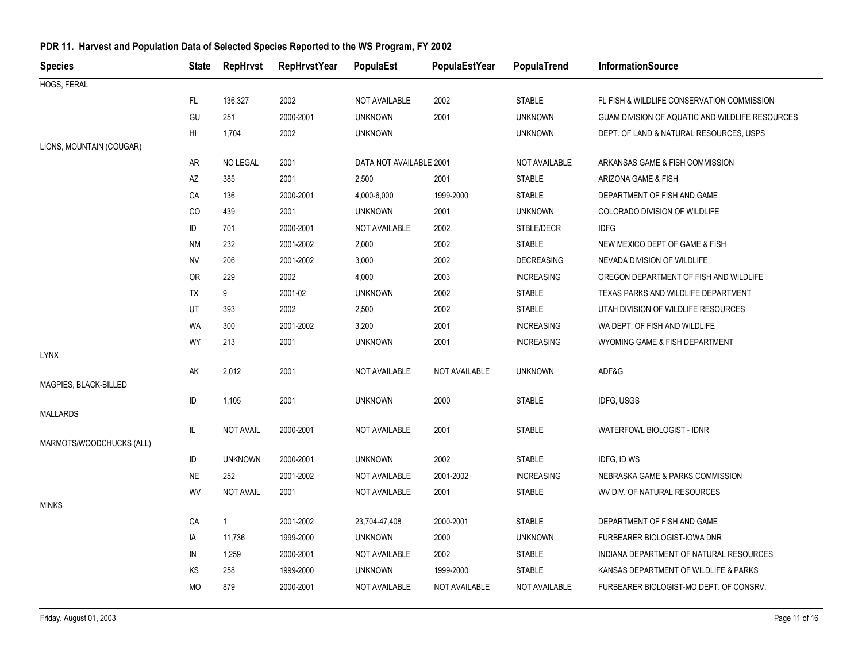| <b>Species</b>           | State      | <b>RepHrvst</b>  | <b>RepHrvstYear</b> | PopulaEst               | PopulaEstYear | PopulaTrend       | <b>InformationSource</b>                        |
|--------------------------|------------|------------------|---------------------|-------------------------|---------------|-------------------|-------------------------------------------------|
| HOGS, FERAL              |            |                  |                     |                         |               |                   |                                                 |
|                          | FL.        | 136,327          | 2002                | NOT AVAILABLE           | 2002          | <b>STABLE</b>     | FL FISH & WILDLIFE CONSERVATION COMMISSION      |
|                          | GU         | 251              | 2000-2001           | <b>UNKNOWN</b>          | 2001          | <b>UNKNOWN</b>    | GUAM DIVISION OF AQUATIC AND WILDLIFE RESOURCES |
|                          | HI         | 1,704            | 2002                | <b>UNKNOWN</b>          |               | <b>UNKNOWN</b>    | DEPT. OF LAND & NATURAL RESOURCES, USPS         |
| LIONS, MOUNTAIN (COUGAR) |            |                  |                     |                         |               |                   |                                                 |
|                          | AR         | <b>NO LEGAL</b>  | 2001                | DATA NOT AVAILABLE 2001 |               | NOT AVAILABLE     | ARKANSAS GAME & FISH COMMISSION                 |
|                          | AZ         | 385              | 2001                | 2,500                   | 2001          | <b>STABLE</b>     | ARIZONA GAME & FISH                             |
|                          | CA         | 136              | 2000-2001           | 4,000-6,000             | 1999-2000     | STABLE            | DEPARTMENT OF FISH AND GAME                     |
|                          | CO         | 439              | 2001                | <b>UNKNOWN</b>          | 2001          | <b>UNKNOWN</b>    | COLORADO DIVISION OF WILDLIFE                   |
|                          | ID         | 701              | 2000-2001           | NOT AVAILABLE           | 2002          | STBLE/DECR        | <b>IDFG</b>                                     |
|                          | <b>NM</b>  | 232              | 2001-2002           | 2,000                   | 2002          | <b>STABLE</b>     | NEW MEXICO DEPT OF GAME & FISH                  |
|                          | ${\sf NV}$ | 206              | 2001-2002           | 3,000                   | 2002          | <b>DECREASING</b> | NEVADA DIVISION OF WILDLIFE                     |
|                          | <b>OR</b>  | 229              | 2002                | 4,000                   | 2003          | <b>INCREASING</b> | OREGON DEPARTMENT OF FISH AND WILDLIFE          |
|                          | TX         | 9                | 2001-02             | <b>UNKNOWN</b>          | 2002          | <b>STABLE</b>     | TEXAS PARKS AND WILDLIFE DEPARTMENT             |
|                          | UT         | 393              | 2002                | 2,500                   | 2002          | <b>STABLE</b>     | UTAH DIVISION OF WILDLIFE RESOURCES             |
|                          | WA         | 300              | 2001-2002           | 3,200                   | 2001          | <b>INCREASING</b> | WA DEPT. OF FISH AND WILDLIFE                   |
|                          | WY         | 213              | 2001                | <b>UNKNOWN</b>          | 2001          | <b>INCREASING</b> | WYOMING GAME & FISH DEPARTMENT                  |
| <b>LYNX</b>              |            |                  |                     |                         |               |                   |                                                 |
|                          | AK         | 2,012            | 2001                | NOT AVAILABLE           | NOT AVAILABLE | <b>UNKNOWN</b>    | ADF&G                                           |
| MAGPIES, BLACK-BILLED    |            |                  |                     |                         |               |                   |                                                 |
| <b>MALLARDS</b>          | ID         | 1,105            | 2001                | <b>UNKNOWN</b>          | 2000          | <b>STABLE</b>     | <b>IDFG, USGS</b>                               |
|                          | IL         | <b>NOT AVAIL</b> | 2000-2001           | NOT AVAILABLE           | 2001          | <b>STABLE</b>     | WATERFOWL BIOLOGIST - IDNR                      |
| MARMOTS/WOODCHUCKS (ALL) |            |                  |                     |                         |               |                   |                                                 |
|                          | ID         | <b>UNKNOWN</b>   | 2000-2001           | <b>UNKNOWN</b>          | 2002          | <b>STABLE</b>     | IDFG, ID WS                                     |
|                          | <b>NE</b>  | 252              | 2001-2002           | NOT AVAILABLE           | 2001-2002     | <b>INCREASING</b> | NEBRASKA GAME & PARKS COMMISSION                |
|                          | WV         | <b>NOT AVAIL</b> | 2001                | NOT AVAILABLE           | 2001          | <b>STABLE</b>     | WV DIV. OF NATURAL RESOURCES                    |
| <b>MINKS</b>             |            |                  |                     |                         |               |                   |                                                 |
|                          | CA         | $\mathbf{1}$     | 2001-2002           | 23,704-47,408           | 2000-2001     | <b>STABLE</b>     | DEPARTMENT OF FISH AND GAME                     |
|                          | IA         | 11,736           | 1999-2000           | <b>UNKNOWN</b>          | 2000          | <b>UNKNOWN</b>    | FURBEARER BIOLOGIST-IOWA DNR                    |
|                          | IN         | 1,259            | 2000-2001           | NOT AVAILABLE           | 2002          | <b>STABLE</b>     | INDIANA DEPARTMENT OF NATURAL RESOURCES         |
|                          | KS         | 258              | 1999-2000           | <b>UNKNOWN</b>          | 1999-2000     | <b>STABLE</b>     | KANSAS DEPARTMENT OF WILDLIFE & PARKS           |
|                          | MO         | 879              | 2000-2001           | NOT AVAILABLE           | NOT AVAILABLE | NOT AVAILABLE     | FURBEARER BIOLOGIST-MO DEPT. OF CONSRV.         |
|                          |            |                  |                     |                         |               |                   |                                                 |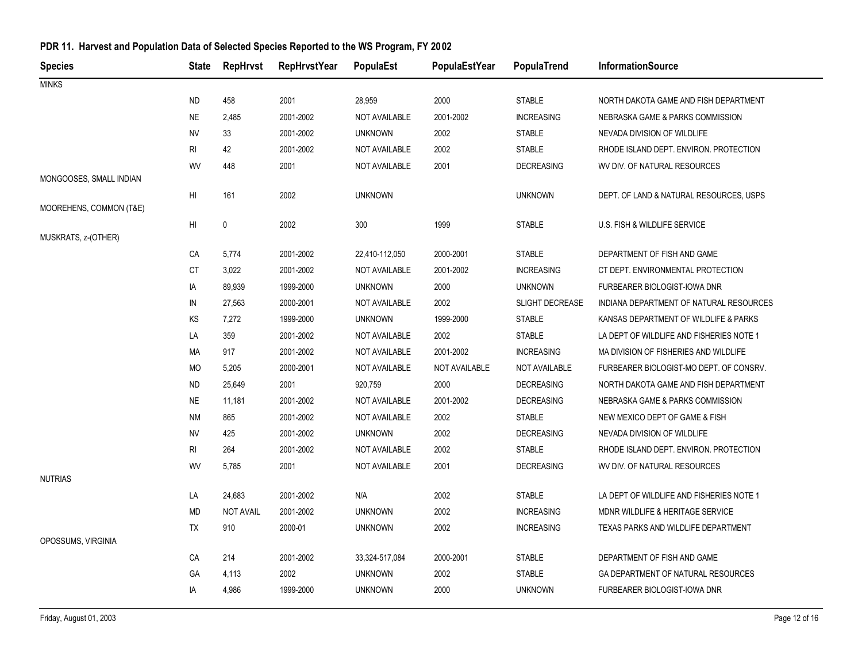| <b>Species</b>          | <b>State</b> | RepHrvst         | <b>RepHrvstYear</b> | PopulaEst            | PopulaEstYear | PopulaTrend          | <b>InformationSource</b>                 |
|-------------------------|--------------|------------------|---------------------|----------------------|---------------|----------------------|------------------------------------------|
| <b>MINKS</b>            |              |                  |                     |                      |               |                      |                                          |
|                         | <b>ND</b>    | 458              | 2001                | 28,959               | 2000          | <b>STABLE</b>        | NORTH DAKOTA GAME AND FISH DEPARTMENT    |
|                         | <b>NE</b>    | 2,485            | 2001-2002           | NOT AVAILABLE        | 2001-2002     | <b>INCREASING</b>    | NEBRASKA GAME & PARKS COMMISSION         |
|                         | <b>NV</b>    | 33               | 2001-2002           | <b>UNKNOWN</b>       | 2002          | <b>STABLE</b>        | NEVADA DIVISION OF WILDLIFE              |
|                         | RI           | 42               | 2001-2002           | NOT AVAILABLE        | 2002          | <b>STABLE</b>        | RHODE ISLAND DEPT. ENVIRON. PROTECTION   |
|                         | WV           | 448              | 2001                | NOT AVAILABLE        | 2001          | <b>DECREASING</b>    | WV DIV. OF NATURAL RESOURCES             |
| MONGOOSES, SMALL INDIAN |              |                  |                     |                      |               |                      |                                          |
|                         | HI           | 161              | 2002                | <b>UNKNOWN</b>       |               | <b>UNKNOWN</b>       | DEPT. OF LAND & NATURAL RESOURCES, USPS  |
| MOOREHENS, COMMON (T&E) |              |                  |                     |                      |               |                      |                                          |
| MUSKRATS, z-(OTHER)     | HI           | $\mathbf 0$      | 2002                | 300                  | 1999          | <b>STABLE</b>        | U.S. FISH & WILDLIFE SERVICE             |
|                         | CA           | 5,774            | 2001-2002           | 22,410-112,050       | 2000-2001     | <b>STABLE</b>        | DEPARTMENT OF FISH AND GAME              |
|                         | СT           | 3,022            | 2001-2002           | NOT AVAILABLE        | 2001-2002     | <b>INCREASING</b>    | CT DEPT. ENVIRONMENTAL PROTECTION        |
|                         | IA           | 89,939           | 1999-2000           | <b>UNKNOWN</b>       | 2000          | <b>UNKNOWN</b>       | FURBEARER BIOLOGIST-IOWA DNR             |
|                         | IN           | 27,563           | 2000-2001           | NOT AVAILABLE        | 2002          | SLIGHT DECREASE      | INDIANA DEPARTMENT OF NATURAL RESOURCES  |
|                         | KS           | 7,272            | 1999-2000           | <b>UNKNOWN</b>       | 1999-2000     | <b>STABLE</b>        | KANSAS DEPARTMENT OF WILDLIFE & PARKS    |
|                         | LA           | 359              | 2001-2002           | NOT AVAILABLE        | 2002          | <b>STABLE</b>        | LA DEPT OF WILDLIFE AND FISHERIES NOTE 1 |
|                         | МA           | 917              | 2001-2002           | <b>NOT AVAILABLE</b> | 2001-2002     | <b>INCREASING</b>    | MA DIVISION OF FISHERIES AND WILDLIFE    |
|                         | MO           | 5,205            | 2000-2001           | NOT AVAILABLE        | NOT AVAILABLE | <b>NOT AVAILABLE</b> | FURBEARER BIOLOGIST-MO DEPT. OF CONSRV.  |
|                         | <b>ND</b>    | 25,649           | 2001                | 920,759              | 2000          | <b>DECREASING</b>    | NORTH DAKOTA GAME AND FISH DEPARTMENT    |
|                         | <b>NE</b>    | 11,181           | 2001-2002           | NOT AVAILABLE        | 2001-2002     | <b>DECREASING</b>    | NEBRASKA GAME & PARKS COMMISSION         |
|                         | <b>NM</b>    | 865              | 2001-2002           | NOT AVAILABLE        | 2002          | <b>STABLE</b>        | NEW MEXICO DEPT OF GAME & FISH           |
|                         | <b>NV</b>    | 425              | 2001-2002           | <b>UNKNOWN</b>       | 2002          | <b>DECREASING</b>    | NEVADA DIVISION OF WILDLIFE              |
|                         | RI           | 264              | 2001-2002           | NOT AVAILABLE        | 2002          | <b>STABLE</b>        | RHODE ISLAND DEPT. ENVIRON. PROTECTION   |
|                         | WV           | 5,785            | 2001                | <b>NOT AVAILABLE</b> | 2001          | <b>DECREASING</b>    | WV DIV. OF NATURAL RESOURCES             |
| <b>NUTRIAS</b>          |              |                  |                     |                      |               |                      |                                          |
|                         | LA           | 24,683           | 2001-2002           | N/A                  | 2002          | <b>STABLE</b>        | LA DEPT OF WILDLIFE AND FISHERIES NOTE 1 |
|                         | MD           | <b>NOT AVAIL</b> | 2001-2002           | <b>UNKNOWN</b>       | 2002          | <b>INCREASING</b>    | MDNR WILDLIFE & HERITAGE SERVICE         |
|                         | TX           | 910              | 2000-01             | <b>UNKNOWN</b>       | 2002          | <b>INCREASING</b>    | TEXAS PARKS AND WILDLIFE DEPARTMENT      |
| OPOSSUMS, VIRGINIA      |              |                  |                     |                      |               |                      |                                          |
|                         | CA           | 214              | 2001-2002           | 33,324-517,084       | 2000-2001     | <b>STABLE</b>        | DEPARTMENT OF FISH AND GAME              |
|                         | GA           | 4,113            | 2002                | <b>UNKNOWN</b>       | 2002          | <b>STABLE</b>        | GA DEPARTMENT OF NATURAL RESOURCES       |
|                         | IA           | 4,986            | 1999-2000           | <b>UNKNOWN</b>       | 2000          | <b>UNKNOWN</b>       | FURBEARER BIOLOGIST-IOWA DNR             |
|                         |              |                  |                     |                      |               |                      |                                          |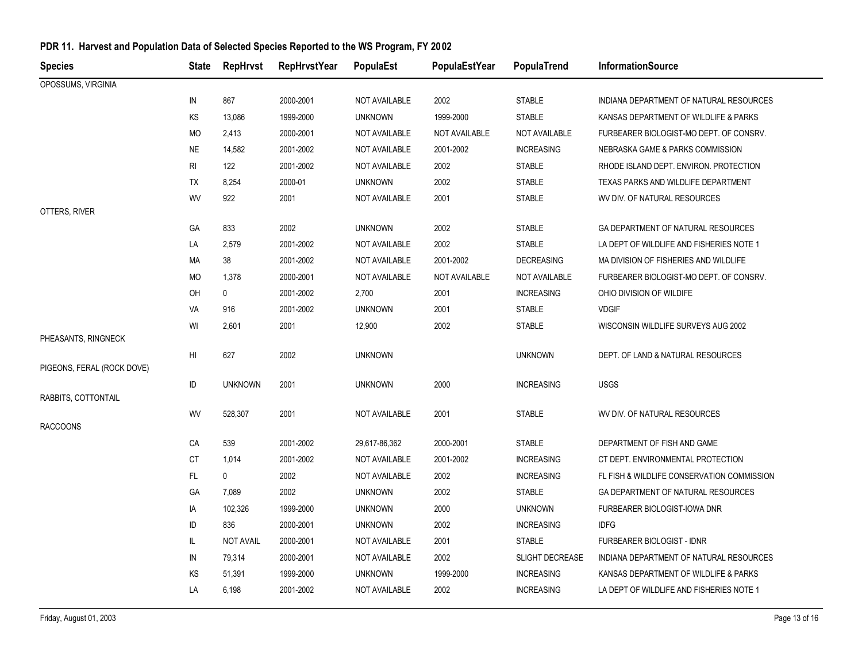| <b>Species</b>             | State           | <b>RepHrvst</b>  | <b>RepHrvstYear</b> | PopulaEst      | PopulaEstYear | PopulaTrend       | <b>InformationSource</b>                   |
|----------------------------|-----------------|------------------|---------------------|----------------|---------------|-------------------|--------------------------------------------|
| OPOSSUMS, VIRGINIA         |                 |                  |                     |                |               |                   |                                            |
|                            | IN              | 867              | 2000-2001           | NOT AVAILABLE  | 2002          | <b>STABLE</b>     | INDIANA DEPARTMENT OF NATURAL RESOURCES    |
|                            | KS              | 13,086           | 1999-2000           | <b>UNKNOWN</b> | 1999-2000     | <b>STABLE</b>     | KANSAS DEPARTMENT OF WILDLIFE & PARKS      |
|                            | <b>MO</b>       | 2,413            | 2000-2001           | NOT AVAILABLE  | NOT AVAILABLE | NOT AVAILABLE     | FURBEARER BIOLOGIST-MO DEPT. OF CONSRV.    |
|                            | <b>NE</b>       | 14,582           | 2001-2002           | NOT AVAILABLE  | 2001-2002     | <b>INCREASING</b> | NEBRASKA GAME & PARKS COMMISSION           |
|                            | <b>RI</b>       | 122              | 2001-2002           | NOT AVAILABLE  | 2002          | <b>STABLE</b>     | RHODE ISLAND DEPT. ENVIRON. PROTECTION     |
|                            | TX              | 8,254            | 2000-01             | <b>UNKNOWN</b> | 2002          | <b>STABLE</b>     | TEXAS PARKS AND WILDLIFE DEPARTMENT        |
|                            | WV              | 922              | 2001                | NOT AVAILABLE  | 2001          | <b>STABLE</b>     | WV DIV. OF NATURAL RESOURCES               |
| OTTERS, RIVER              |                 |                  |                     |                |               |                   |                                            |
|                            | GA              | 833              | 2002                | <b>UNKNOWN</b> | 2002          | <b>STABLE</b>     | GA DEPARTMENT OF NATURAL RESOURCES         |
|                            | LA              | 2,579            | 2001-2002           | NOT AVAILABLE  | 2002          | <b>STABLE</b>     | LA DEPT OF WILDLIFE AND FISHERIES NOTE 1   |
|                            | MA              | 38               | 2001-2002           | NOT AVAILABLE  | 2001-2002     | <b>DECREASING</b> | MA DIVISION OF FISHERIES AND WILDLIFE      |
|                            | МO              | 1,378            | 2000-2001           | NOT AVAILABLE  | NOT AVAILABLE | NOT AVAILABLE     | FURBEARER BIOLOGIST-MO DEPT. OF CONSRV.    |
|                            | OH              | 0                | 2001-2002           | 2,700          | 2001          | <b>INCREASING</b> | OHIO DIVISION OF WILDIFE                   |
|                            | VA              | 916              | 2001-2002           | <b>UNKNOWN</b> | 2001          | <b>STABLE</b>     | <b>VDGIF</b>                               |
|                            | WI              | 2,601            | 2001                | 12,900         | 2002          | <b>STABLE</b>     | WISCONSIN WILDLIFE SURVEYS AUG 2002        |
| PHEASANTS, RINGNECK        |                 |                  |                     |                |               |                   |                                            |
|                            | H <sub>II</sub> | 627              | 2002                | <b>UNKNOWN</b> |               | <b>UNKNOWN</b>    | DEPT. OF LAND & NATURAL RESOURCES          |
| PIGEONS, FERAL (ROCK DOVE) |                 |                  |                     |                |               |                   |                                            |
| RABBITS, COTTONTAIL        | ID              | <b>UNKNOWN</b>   | 2001                | <b>UNKNOWN</b> | 2000          | <b>INCREASING</b> | <b>USGS</b>                                |
|                            | WV              | 528,307          | 2001                | NOT AVAILABLE  | 2001          | <b>STABLE</b>     | WV DIV. OF NATURAL RESOURCES               |
| <b>RACCOONS</b>            |                 |                  |                     |                |               |                   |                                            |
|                            | CA              | 539              | 2001-2002           | 29,617-86,362  | 2000-2001     | <b>STABLE</b>     | DEPARTMENT OF FISH AND GAME                |
|                            | СT              | 1,014            | 2001-2002           | NOT AVAILABLE  | 2001-2002     | <b>INCREASING</b> | CT DEPT. ENVIRONMENTAL PROTECTION          |
|                            | FL.             | $\mathbf 0$      | 2002                | NOT AVAILABLE  | 2002          | <b>INCREASING</b> | FL FISH & WILDLIFE CONSERVATION COMMISSION |
|                            | GA              | 7,089            | 2002                | <b>UNKNOWN</b> | 2002          | <b>STABLE</b>     | GA DEPARTMENT OF NATURAL RESOURCES         |
|                            | IA              | 102,326          | 1999-2000           | <b>UNKNOWN</b> | 2000          | <b>UNKNOWN</b>    | FURBEARER BIOLOGIST-IOWA DNR               |
|                            | ID              | 836              | 2000-2001           | <b>UNKNOWN</b> | 2002          | <b>INCREASING</b> | <b>IDFG</b>                                |
|                            | IL              | <b>NOT AVAIL</b> | 2000-2001           | NOT AVAILABLE  | 2001          | <b>STABLE</b>     | FURBEARER BIOLOGIST - IDNR                 |
|                            | IN              | 79,314           | 2000-2001           | NOT AVAILABLE  | 2002          | SLIGHT DECREASE   | INDIANA DEPARTMENT OF NATURAL RESOURCES    |
|                            | KS              | 51,391           | 1999-2000           | <b>UNKNOWN</b> | 1999-2000     | <b>INCREASING</b> | KANSAS DEPARTMENT OF WILDLIFE & PARKS      |
|                            | LA              | 6,198            | 2001-2002           | NOT AVAILABLE  | 2002          | <b>INCREASING</b> | LA DEPT OF WILDLIFE AND FISHERIES NOTE 1   |
|                            |                 |                  |                     |                |               |                   |                                            |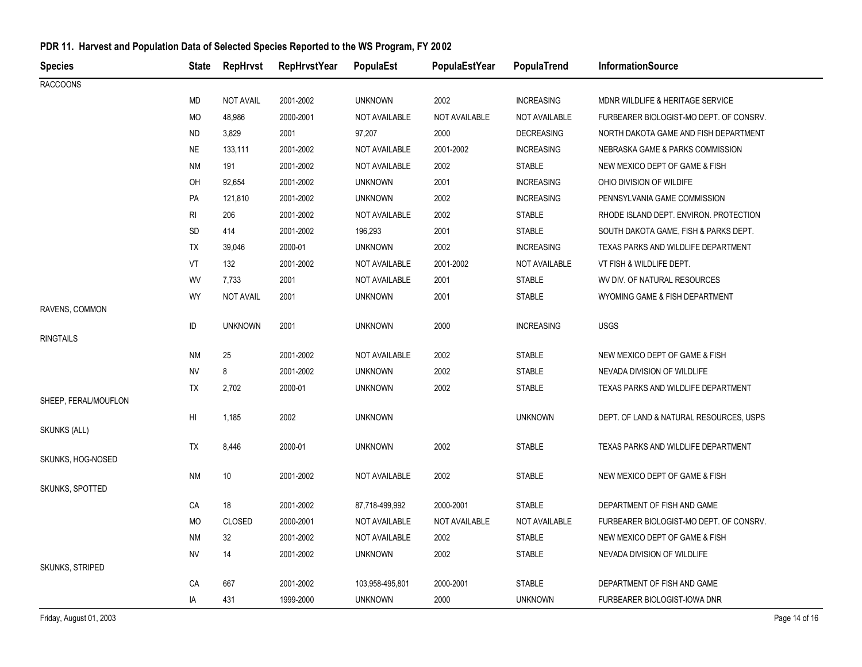| 2002<br><b>INCREASING</b><br>MD<br><b>NOT AVAIL</b><br>2001-2002<br><b>UNKNOWN</b><br>MDNR WILDLIFE & HERITAGE SERVICE<br>MO<br>48,986<br>2000-2001<br>NOT AVAILABLE<br>NOT AVAILABLE<br>NOT AVAILABLE<br>FURBEARER BIOLOGIST-MO DEPT. OF CONSRV.<br>3,829<br>2001<br>97,207<br>2000<br>ND<br><b>DECREASING</b><br>NORTH DAKOTA GAME AND FISH DEPARTMENT<br>2001-2002<br>2001-2002<br><b>NE</b><br>133,111<br>NOT AVAILABLE<br><b>INCREASING</b><br>NEBRASKA GAME & PARKS COMMISSION<br>NM<br>2001-2002<br>NOT AVAILABLE<br>2002<br><b>STABLE</b><br>191<br>NEW MEXICO DEPT OF GAME & FISH<br>2001<br>OH<br>92,654<br>2001-2002<br><b>UNKNOWN</b><br><b>INCREASING</b><br>OHIO DIVISION OF WILDIFE<br>2002<br>PA<br>121,810<br>2001-2002<br><b>UNKNOWN</b><br><b>INCREASING</b><br>PENNSYLVANIA GAME COMMISSION<br>RI<br>206<br>2001-2002<br>NOT AVAILABLE<br>2002<br><b>STABLE</b><br>RHODE ISLAND DEPT. ENVIRON. PROTECTION<br>SD<br>414<br>2001-2002<br>196,293<br>2001<br><b>STABLE</b><br>SOUTH DAKOTA GAME, FISH & PARKS DEPT.<br>2000-01<br><b>UNKNOWN</b><br>2002<br><b>INCREASING</b><br>TX<br>39,046<br>TEXAS PARKS AND WILDLIFE DEPARTMENT<br>VT<br>132<br>2001-2002<br>NOT AVAILABLE<br>2001-2002<br>NOT AVAILABLE<br>VT FISH & WILDLIFE DEPT.<br>WV<br>7,733<br>2001<br>2001<br><b>STABLE</b><br>NOT AVAILABLE<br>WV DIV. OF NATURAL RESOURCES<br><b>WY</b><br><b>NOT AVAIL</b><br>2001<br><b>UNKNOWN</b><br>2001<br><b>STABLE</b><br>WYOMING GAME & FISH DEPARTMENT<br>ID<br><b>UNKNOWN</b><br>2001<br>2000<br><b>USGS</b><br><b>UNKNOWN</b><br><b>INCREASING</b><br><b>RINGTAILS</b><br><b>NM</b><br>25<br>2001-2002<br>NOT AVAILABLE<br>2002<br><b>STABLE</b><br>NEW MEXICO DEPT OF GAME & FISH<br>NV<br>8<br>2001-2002<br><b>UNKNOWN</b><br>2002<br><b>STABLE</b><br>NEVADA DIVISION OF WILDLIFE<br>2002<br>TX<br>2,702<br>2000-01<br><b>UNKNOWN</b><br><b>STABLE</b><br>TEXAS PARKS AND WILDLIFE DEPARTMENT<br>2002<br>HI<br><b>UNKNOWN</b><br><b>UNKNOWN</b><br>DEPT. OF LAND & NATURAL RESOURCES, USPS<br>1,185<br>2002<br>TEXAS PARKS AND WILDLIFE DEPARTMENT<br>TX<br>8,446<br>2000-01<br><b>UNKNOWN</b><br><b>STABLE</b><br><b>STABLE</b><br>NM<br>10<br>2001-2002<br>NOT AVAILABLE<br>2002<br>NEW MEXICO DEPT OF GAME & FISH<br>SKUNKS, SPOTTED<br>18<br>2001-2002<br>2000-2001<br><b>STABLE</b><br>87,718-499,992<br>DEPARTMENT OF FISH AND GAME<br>СA<br>MO<br><b>CLOSED</b><br>NOT AVAILABLE<br>NOT AVAILABLE<br>2000-2001<br>NOT AVAILABLE<br>FURBEARER BIOLOGIST-MO DEPT. OF CONSRV.<br><b>STABLE</b><br><b>NM</b><br>32<br>2001-2002<br>NOT AVAILABLE<br>2002<br>NEW MEXICO DEPT OF GAME & FISH<br>NV<br>2001-2002<br><b>UNKNOWN</b><br>2002<br><b>STABLE</b><br>14<br>NEVADA DIVISION OF WILDLIFE<br><b>SKUNKS, STRIPED</b><br>CA<br>667<br>2001-2002<br>2000-2001<br><b>STABLE</b><br>DEPARTMENT OF FISH AND GAME<br>103,958-495,801 | <b>Species</b>       | <b>State</b> | <b>RepHrvst</b> | <b>RepHrvstYear</b> | <b>PopulaEst</b> | PopulaEstYear | PopulaTrend | <b>InformationSource</b> |
|----------------------------------------------------------------------------------------------------------------------------------------------------------------------------------------------------------------------------------------------------------------------------------------------------------------------------------------------------------------------------------------------------------------------------------------------------------------------------------------------------------------------------------------------------------------------------------------------------------------------------------------------------------------------------------------------------------------------------------------------------------------------------------------------------------------------------------------------------------------------------------------------------------------------------------------------------------------------------------------------------------------------------------------------------------------------------------------------------------------------------------------------------------------------------------------------------------------------------------------------------------------------------------------------------------------------------------------------------------------------------------------------------------------------------------------------------------------------------------------------------------------------------------------------------------------------------------------------------------------------------------------------------------------------------------------------------------------------------------------------------------------------------------------------------------------------------------------------------------------------------------------------------------------------------------------------------------------------------------------------------------------------------------------------------------------------------------------------------------------------------------------------------------------------------------------------------------------------------------------------------------------------------------------------------------------------------------------------------------------------------------------------------------------------------------------------------------------------------------------------------------------------------------------------------------------------------------------------------------------------------------------------------------------------------------------------------------------------------------------------------------------------------------------------------------------------------------------------------------------------|----------------------|--------------|-----------------|---------------------|------------------|---------------|-------------|--------------------------|
|                                                                                                                                                                                                                                                                                                                                                                                                                                                                                                                                                                                                                                                                                                                                                                                                                                                                                                                                                                                                                                                                                                                                                                                                                                                                                                                                                                                                                                                                                                                                                                                                                                                                                                                                                                                                                                                                                                                                                                                                                                                                                                                                                                                                                                                                                                                                                                                                                                                                                                                                                                                                                                                                                                                                                                                                                                                                      | <b>RACCOONS</b>      |              |                 |                     |                  |               |             |                          |
|                                                                                                                                                                                                                                                                                                                                                                                                                                                                                                                                                                                                                                                                                                                                                                                                                                                                                                                                                                                                                                                                                                                                                                                                                                                                                                                                                                                                                                                                                                                                                                                                                                                                                                                                                                                                                                                                                                                                                                                                                                                                                                                                                                                                                                                                                                                                                                                                                                                                                                                                                                                                                                                                                                                                                                                                                                                                      |                      |              |                 |                     |                  |               |             |                          |
|                                                                                                                                                                                                                                                                                                                                                                                                                                                                                                                                                                                                                                                                                                                                                                                                                                                                                                                                                                                                                                                                                                                                                                                                                                                                                                                                                                                                                                                                                                                                                                                                                                                                                                                                                                                                                                                                                                                                                                                                                                                                                                                                                                                                                                                                                                                                                                                                                                                                                                                                                                                                                                                                                                                                                                                                                                                                      |                      |              |                 |                     |                  |               |             |                          |
|                                                                                                                                                                                                                                                                                                                                                                                                                                                                                                                                                                                                                                                                                                                                                                                                                                                                                                                                                                                                                                                                                                                                                                                                                                                                                                                                                                                                                                                                                                                                                                                                                                                                                                                                                                                                                                                                                                                                                                                                                                                                                                                                                                                                                                                                                                                                                                                                                                                                                                                                                                                                                                                                                                                                                                                                                                                                      |                      |              |                 |                     |                  |               |             |                          |
|                                                                                                                                                                                                                                                                                                                                                                                                                                                                                                                                                                                                                                                                                                                                                                                                                                                                                                                                                                                                                                                                                                                                                                                                                                                                                                                                                                                                                                                                                                                                                                                                                                                                                                                                                                                                                                                                                                                                                                                                                                                                                                                                                                                                                                                                                                                                                                                                                                                                                                                                                                                                                                                                                                                                                                                                                                                                      |                      |              |                 |                     |                  |               |             |                          |
|                                                                                                                                                                                                                                                                                                                                                                                                                                                                                                                                                                                                                                                                                                                                                                                                                                                                                                                                                                                                                                                                                                                                                                                                                                                                                                                                                                                                                                                                                                                                                                                                                                                                                                                                                                                                                                                                                                                                                                                                                                                                                                                                                                                                                                                                                                                                                                                                                                                                                                                                                                                                                                                                                                                                                                                                                                                                      |                      |              |                 |                     |                  |               |             |                          |
|                                                                                                                                                                                                                                                                                                                                                                                                                                                                                                                                                                                                                                                                                                                                                                                                                                                                                                                                                                                                                                                                                                                                                                                                                                                                                                                                                                                                                                                                                                                                                                                                                                                                                                                                                                                                                                                                                                                                                                                                                                                                                                                                                                                                                                                                                                                                                                                                                                                                                                                                                                                                                                                                                                                                                                                                                                                                      |                      |              |                 |                     |                  |               |             |                          |
|                                                                                                                                                                                                                                                                                                                                                                                                                                                                                                                                                                                                                                                                                                                                                                                                                                                                                                                                                                                                                                                                                                                                                                                                                                                                                                                                                                                                                                                                                                                                                                                                                                                                                                                                                                                                                                                                                                                                                                                                                                                                                                                                                                                                                                                                                                                                                                                                                                                                                                                                                                                                                                                                                                                                                                                                                                                                      |                      |              |                 |                     |                  |               |             |                          |
|                                                                                                                                                                                                                                                                                                                                                                                                                                                                                                                                                                                                                                                                                                                                                                                                                                                                                                                                                                                                                                                                                                                                                                                                                                                                                                                                                                                                                                                                                                                                                                                                                                                                                                                                                                                                                                                                                                                                                                                                                                                                                                                                                                                                                                                                                                                                                                                                                                                                                                                                                                                                                                                                                                                                                                                                                                                                      |                      |              |                 |                     |                  |               |             |                          |
|                                                                                                                                                                                                                                                                                                                                                                                                                                                                                                                                                                                                                                                                                                                                                                                                                                                                                                                                                                                                                                                                                                                                                                                                                                                                                                                                                                                                                                                                                                                                                                                                                                                                                                                                                                                                                                                                                                                                                                                                                                                                                                                                                                                                                                                                                                                                                                                                                                                                                                                                                                                                                                                                                                                                                                                                                                                                      |                      |              |                 |                     |                  |               |             |                          |
|                                                                                                                                                                                                                                                                                                                                                                                                                                                                                                                                                                                                                                                                                                                                                                                                                                                                                                                                                                                                                                                                                                                                                                                                                                                                                                                                                                                                                                                                                                                                                                                                                                                                                                                                                                                                                                                                                                                                                                                                                                                                                                                                                                                                                                                                                                                                                                                                                                                                                                                                                                                                                                                                                                                                                                                                                                                                      |                      |              |                 |                     |                  |               |             |                          |
|                                                                                                                                                                                                                                                                                                                                                                                                                                                                                                                                                                                                                                                                                                                                                                                                                                                                                                                                                                                                                                                                                                                                                                                                                                                                                                                                                                                                                                                                                                                                                                                                                                                                                                                                                                                                                                                                                                                                                                                                                                                                                                                                                                                                                                                                                                                                                                                                                                                                                                                                                                                                                                                                                                                                                                                                                                                                      |                      |              |                 |                     |                  |               |             |                          |
|                                                                                                                                                                                                                                                                                                                                                                                                                                                                                                                                                                                                                                                                                                                                                                                                                                                                                                                                                                                                                                                                                                                                                                                                                                                                                                                                                                                                                                                                                                                                                                                                                                                                                                                                                                                                                                                                                                                                                                                                                                                                                                                                                                                                                                                                                                                                                                                                                                                                                                                                                                                                                                                                                                                                                                                                                                                                      |                      |              |                 |                     |                  |               |             |                          |
|                                                                                                                                                                                                                                                                                                                                                                                                                                                                                                                                                                                                                                                                                                                                                                                                                                                                                                                                                                                                                                                                                                                                                                                                                                                                                                                                                                                                                                                                                                                                                                                                                                                                                                                                                                                                                                                                                                                                                                                                                                                                                                                                                                                                                                                                                                                                                                                                                                                                                                                                                                                                                                                                                                                                                                                                                                                                      |                      |              |                 |                     |                  |               |             |                          |
|                                                                                                                                                                                                                                                                                                                                                                                                                                                                                                                                                                                                                                                                                                                                                                                                                                                                                                                                                                                                                                                                                                                                                                                                                                                                                                                                                                                                                                                                                                                                                                                                                                                                                                                                                                                                                                                                                                                                                                                                                                                                                                                                                                                                                                                                                                                                                                                                                                                                                                                                                                                                                                                                                                                                                                                                                                                                      | RAVENS, COMMON       |              |                 |                     |                  |               |             |                          |
|                                                                                                                                                                                                                                                                                                                                                                                                                                                                                                                                                                                                                                                                                                                                                                                                                                                                                                                                                                                                                                                                                                                                                                                                                                                                                                                                                                                                                                                                                                                                                                                                                                                                                                                                                                                                                                                                                                                                                                                                                                                                                                                                                                                                                                                                                                                                                                                                                                                                                                                                                                                                                                                                                                                                                                                                                                                                      |                      |              |                 |                     |                  |               |             |                          |
|                                                                                                                                                                                                                                                                                                                                                                                                                                                                                                                                                                                                                                                                                                                                                                                                                                                                                                                                                                                                                                                                                                                                                                                                                                                                                                                                                                                                                                                                                                                                                                                                                                                                                                                                                                                                                                                                                                                                                                                                                                                                                                                                                                                                                                                                                                                                                                                                                                                                                                                                                                                                                                                                                                                                                                                                                                                                      |                      |              |                 |                     |                  |               |             |                          |
|                                                                                                                                                                                                                                                                                                                                                                                                                                                                                                                                                                                                                                                                                                                                                                                                                                                                                                                                                                                                                                                                                                                                                                                                                                                                                                                                                                                                                                                                                                                                                                                                                                                                                                                                                                                                                                                                                                                                                                                                                                                                                                                                                                                                                                                                                                                                                                                                                                                                                                                                                                                                                                                                                                                                                                                                                                                                      |                      |              |                 |                     |                  |               |             |                          |
|                                                                                                                                                                                                                                                                                                                                                                                                                                                                                                                                                                                                                                                                                                                                                                                                                                                                                                                                                                                                                                                                                                                                                                                                                                                                                                                                                                                                                                                                                                                                                                                                                                                                                                                                                                                                                                                                                                                                                                                                                                                                                                                                                                                                                                                                                                                                                                                                                                                                                                                                                                                                                                                                                                                                                                                                                                                                      |                      |              |                 |                     |                  |               |             |                          |
|                                                                                                                                                                                                                                                                                                                                                                                                                                                                                                                                                                                                                                                                                                                                                                                                                                                                                                                                                                                                                                                                                                                                                                                                                                                                                                                                                                                                                                                                                                                                                                                                                                                                                                                                                                                                                                                                                                                                                                                                                                                                                                                                                                                                                                                                                                                                                                                                                                                                                                                                                                                                                                                                                                                                                                                                                                                                      | SHEEP, FERAL/MOUFLON |              |                 |                     |                  |               |             |                          |
|                                                                                                                                                                                                                                                                                                                                                                                                                                                                                                                                                                                                                                                                                                                                                                                                                                                                                                                                                                                                                                                                                                                                                                                                                                                                                                                                                                                                                                                                                                                                                                                                                                                                                                                                                                                                                                                                                                                                                                                                                                                                                                                                                                                                                                                                                                                                                                                                                                                                                                                                                                                                                                                                                                                                                                                                                                                                      |                      |              |                 |                     |                  |               |             |                          |
|                                                                                                                                                                                                                                                                                                                                                                                                                                                                                                                                                                                                                                                                                                                                                                                                                                                                                                                                                                                                                                                                                                                                                                                                                                                                                                                                                                                                                                                                                                                                                                                                                                                                                                                                                                                                                                                                                                                                                                                                                                                                                                                                                                                                                                                                                                                                                                                                                                                                                                                                                                                                                                                                                                                                                                                                                                                                      | <b>SKUNKS (ALL)</b>  |              |                 |                     |                  |               |             |                          |
|                                                                                                                                                                                                                                                                                                                                                                                                                                                                                                                                                                                                                                                                                                                                                                                                                                                                                                                                                                                                                                                                                                                                                                                                                                                                                                                                                                                                                                                                                                                                                                                                                                                                                                                                                                                                                                                                                                                                                                                                                                                                                                                                                                                                                                                                                                                                                                                                                                                                                                                                                                                                                                                                                                                                                                                                                                                                      |                      |              |                 |                     |                  |               |             |                          |
|                                                                                                                                                                                                                                                                                                                                                                                                                                                                                                                                                                                                                                                                                                                                                                                                                                                                                                                                                                                                                                                                                                                                                                                                                                                                                                                                                                                                                                                                                                                                                                                                                                                                                                                                                                                                                                                                                                                                                                                                                                                                                                                                                                                                                                                                                                                                                                                                                                                                                                                                                                                                                                                                                                                                                                                                                                                                      | SKUNKS, HOG-NOSED    |              |                 |                     |                  |               |             |                          |
|                                                                                                                                                                                                                                                                                                                                                                                                                                                                                                                                                                                                                                                                                                                                                                                                                                                                                                                                                                                                                                                                                                                                                                                                                                                                                                                                                                                                                                                                                                                                                                                                                                                                                                                                                                                                                                                                                                                                                                                                                                                                                                                                                                                                                                                                                                                                                                                                                                                                                                                                                                                                                                                                                                                                                                                                                                                                      |                      |              |                 |                     |                  |               |             |                          |
|                                                                                                                                                                                                                                                                                                                                                                                                                                                                                                                                                                                                                                                                                                                                                                                                                                                                                                                                                                                                                                                                                                                                                                                                                                                                                                                                                                                                                                                                                                                                                                                                                                                                                                                                                                                                                                                                                                                                                                                                                                                                                                                                                                                                                                                                                                                                                                                                                                                                                                                                                                                                                                                                                                                                                                                                                                                                      |                      |              |                 |                     |                  |               |             |                          |
|                                                                                                                                                                                                                                                                                                                                                                                                                                                                                                                                                                                                                                                                                                                                                                                                                                                                                                                                                                                                                                                                                                                                                                                                                                                                                                                                                                                                                                                                                                                                                                                                                                                                                                                                                                                                                                                                                                                                                                                                                                                                                                                                                                                                                                                                                                                                                                                                                                                                                                                                                                                                                                                                                                                                                                                                                                                                      |                      |              |                 |                     |                  |               |             |                          |
|                                                                                                                                                                                                                                                                                                                                                                                                                                                                                                                                                                                                                                                                                                                                                                                                                                                                                                                                                                                                                                                                                                                                                                                                                                                                                                                                                                                                                                                                                                                                                                                                                                                                                                                                                                                                                                                                                                                                                                                                                                                                                                                                                                                                                                                                                                                                                                                                                                                                                                                                                                                                                                                                                                                                                                                                                                                                      |                      |              |                 |                     |                  |               |             |                          |
|                                                                                                                                                                                                                                                                                                                                                                                                                                                                                                                                                                                                                                                                                                                                                                                                                                                                                                                                                                                                                                                                                                                                                                                                                                                                                                                                                                                                                                                                                                                                                                                                                                                                                                                                                                                                                                                                                                                                                                                                                                                                                                                                                                                                                                                                                                                                                                                                                                                                                                                                                                                                                                                                                                                                                                                                                                                                      |                      |              |                 |                     |                  |               |             |                          |
|                                                                                                                                                                                                                                                                                                                                                                                                                                                                                                                                                                                                                                                                                                                                                                                                                                                                                                                                                                                                                                                                                                                                                                                                                                                                                                                                                                                                                                                                                                                                                                                                                                                                                                                                                                                                                                                                                                                                                                                                                                                                                                                                                                                                                                                                                                                                                                                                                                                                                                                                                                                                                                                                                                                                                                                                                                                                      |                      |              |                 |                     |                  |               |             |                          |
|                                                                                                                                                                                                                                                                                                                                                                                                                                                                                                                                                                                                                                                                                                                                                                                                                                                                                                                                                                                                                                                                                                                                                                                                                                                                                                                                                                                                                                                                                                                                                                                                                                                                                                                                                                                                                                                                                                                                                                                                                                                                                                                                                                                                                                                                                                                                                                                                                                                                                                                                                                                                                                                                                                                                                                                                                                                                      |                      |              |                 |                     |                  |               |             |                          |
| IA<br>431<br>1999-2000<br><b>UNKNOWN</b><br>2000<br><b>UNKNOWN</b><br>FURBEARER BIOLOGIST-IOWA DNR                                                                                                                                                                                                                                                                                                                                                                                                                                                                                                                                                                                                                                                                                                                                                                                                                                                                                                                                                                                                                                                                                                                                                                                                                                                                                                                                                                                                                                                                                                                                                                                                                                                                                                                                                                                                                                                                                                                                                                                                                                                                                                                                                                                                                                                                                                                                                                                                                                                                                                                                                                                                                                                                                                                                                                   |                      |              |                 |                     |                  |               |             |                          |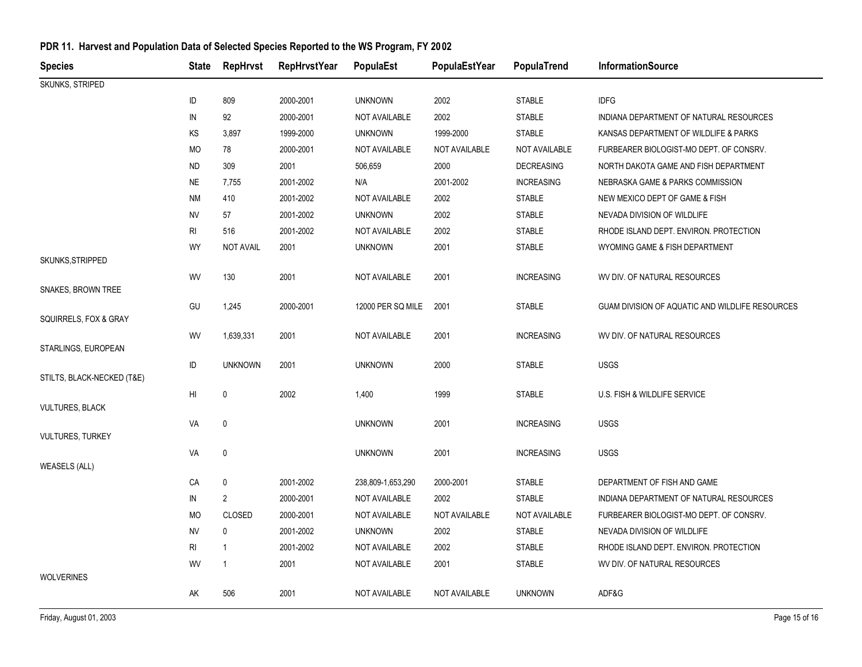| <b>Species</b>             | <b>State</b> | <b>RepHrvst</b>  | <b>RepHrvstYear</b> | PopulaEst            | PopulaEstYear | PopulaTrend       | <b>InformationSource</b>                        |
|----------------------------|--------------|------------------|---------------------|----------------------|---------------|-------------------|-------------------------------------------------|
| <b>SKUNKS, STRIPED</b>     |              |                  |                     |                      |               |                   |                                                 |
|                            | ID           | 809              | 2000-2001           | <b>UNKNOWN</b>       | 2002          | <b>STABLE</b>     | <b>IDFG</b>                                     |
|                            | IN           | 92               | 2000-2001           | <b>NOT AVAILABLE</b> | 2002          | <b>STABLE</b>     | INDIANA DEPARTMENT OF NATURAL RESOURCES         |
|                            | KS           | 3,897            | 1999-2000           | <b>UNKNOWN</b>       | 1999-2000     | <b>STABLE</b>     | KANSAS DEPARTMENT OF WILDLIFE & PARKS           |
|                            | MO           | 78               | 2000-2001           | <b>NOT AVAILABLE</b> | NOT AVAILABLE | NOT AVAILABLE     | FURBEARER BIOLOGIST-MO DEPT. OF CONSRV.         |
|                            | <b>ND</b>    | 309              | 2001                | 506,659              | 2000          | <b>DECREASING</b> | NORTH DAKOTA GAME AND FISH DEPARTMENT           |
|                            | <b>NE</b>    | 7,755            | 2001-2002           | N/A                  | 2001-2002     | <b>INCREASING</b> | NEBRASKA GAME & PARKS COMMISSION                |
|                            | <b>NM</b>    | 410              | 2001-2002           | NOT AVAILABLE        | 2002          | <b>STABLE</b>     | NEW MEXICO DEPT OF GAME & FISH                  |
|                            | NV           | 57               | 2001-2002           | <b>UNKNOWN</b>       | 2002          | <b>STABLE</b>     | NEVADA DIVISION OF WILDLIFE                     |
|                            | RI           | 516              | 2001-2002           | <b>NOT AVAILABLE</b> | 2002          | <b>STABLE</b>     | RHODE ISLAND DEPT. ENVIRON. PROTECTION          |
|                            | WY           | <b>NOT AVAIL</b> | 2001                | <b>UNKNOWN</b>       | 2001          | <b>STABLE</b>     | WYOMING GAME & FISH DEPARTMENT                  |
| SKUNKS, STRIPPED           |              |                  |                     |                      |               |                   |                                                 |
|                            | WV           | 130              | 2001                | NOT AVAILABLE        | 2001          | <b>INCREASING</b> | WV DIV. OF NATURAL RESOURCES                    |
| SNAKES, BROWN TREE         |              |                  | 2000-2001           | 12000 PER SQ MILE    | 2001          | <b>STABLE</b>     | GUAM DIVISION OF AQUATIC AND WILDLIFE RESOURCES |
| SQUIRRELS, FOX & GRAY      | GU           | 1,245            |                     |                      |               |                   |                                                 |
|                            | WV           | 1,639,331        | 2001                | NOT AVAILABLE        | 2001          | <b>INCREASING</b> | WV DIV. OF NATURAL RESOURCES                    |
| STARLINGS, EUROPEAN        |              |                  |                     |                      |               |                   |                                                 |
|                            | ID           | <b>UNKNOWN</b>   | 2001                | <b>UNKNOWN</b>       | 2000          | <b>STABLE</b>     | <b>USGS</b>                                     |
| STILTS, BLACK-NECKED (T&E) |              |                  |                     |                      |               |                   |                                                 |
|                            | HI           | $\pmb{0}$        | 2002                | 1,400                | 1999          | <b>STABLE</b>     | U.S. FISH & WILDLIFE SERVICE                    |
| <b>VULTURES, BLACK</b>     |              |                  |                     |                      |               |                   |                                                 |
| <b>VULTURES, TURKEY</b>    | VA           | $\mathbf 0$      |                     | <b>UNKNOWN</b>       | 2001          | <b>INCREASING</b> | <b>USGS</b>                                     |
|                            | VA           | $\pmb{0}$        |                     | <b>UNKNOWN</b>       | 2001          | <b>INCREASING</b> | <b>USGS</b>                                     |
| <b>WEASELS (ALL)</b>       |              |                  |                     |                      |               |                   |                                                 |
|                            | СA           | $\pmb{0}$        | 2001-2002           | 238,809-1,653,290    | 2000-2001     | <b>STABLE</b>     | DEPARTMENT OF FISH AND GAME                     |
|                            | IN           | 2                | 2000-2001           | NOT AVAILABLE        | 2002          | <b>STABLE</b>     | INDIANA DEPARTMENT OF NATURAL RESOURCES         |
|                            | МO           | CLOSED           | 2000-2001           | NOT AVAILABLE        | NOT AVAILABLE | NOT AVAILABLE     | FURBEARER BIOLOGIST-MO DEPT. OF CONSRV.         |
|                            | NV           | $\mathbf 0$      | 2001-2002           | <b>UNKNOWN</b>       | 2002          | <b>STABLE</b>     | NEVADA DIVISION OF WILDLIFE                     |
|                            | RI           | -1               | 2001-2002           | NOT AVAILABLE        | 2002          | <b>STABLE</b>     | RHODE ISLAND DEPT. ENVIRON. PROTECTION          |
|                            | WV           | $\mathbf{1}$     | 2001                | NOT AVAILABLE        | 2001          | <b>STABLE</b>     | WV DIV. OF NATURAL RESOURCES                    |
| <b>WOLVERINES</b>          |              |                  |                     |                      |               |                   |                                                 |
|                            | AK           | 506              | 2001                | NOT AVAILABLE        | NOT AVAILABLE | <b>UNKNOWN</b>    | ADF&G                                           |